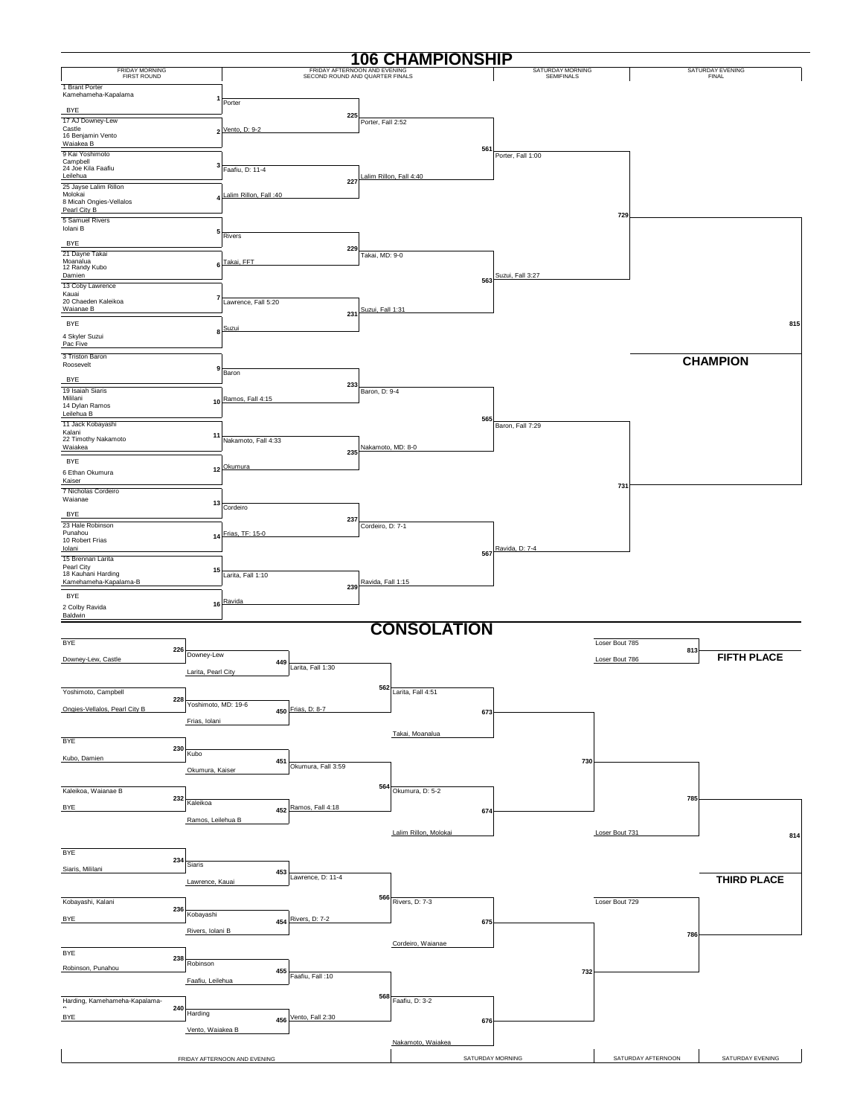|                                                           |     |                     |                              |                                 |                              | <b>106 CHAMPIONSHIP</b> |                                |                       |                           |
|-----------------------------------------------------------|-----|---------------------|------------------------------|---------------------------------|------------------------------|-------------------------|--------------------------------|-----------------------|---------------------------|
| <b>FRIDAY MORNING</b><br>FIRST ROUND                      |     |                     |                              | SECOND ROUND AND QUARTER FINALS | FRIDAY AFTERNOON AND EVENING |                         | SATURDAY MORNING<br>SEMIFINALS |                       | SATURDAY EVENING<br>FINAL |
| 1 Brant Porter<br>Kamehameha-Kapalama                     |     |                     |                              |                                 |                              |                         |                                |                       |                           |
|                                                           |     |                     | Porter                       |                                 |                              |                         |                                |                       |                           |
| <b>BYE</b><br>17 AJ Downey-Lew                            |     |                     |                              |                                 | 225<br>Porter, Fall 2:52     |                         |                                |                       |                           |
| Castle<br>16 Benjamin Vento                               |     |                     | 2 Vento, D: 9-2              |                                 |                              |                         |                                |                       |                           |
| Waiakea B<br>9 Kai Yoshimoto                              |     |                     |                              |                                 |                              | 561                     | Porter, Fall 1:00              |                       |                           |
| Campbell<br>24 Joe Kila Faafiu                            |     | з                   | Faafiu, D: 11-4              |                                 |                              |                         |                                |                       |                           |
| Leilehua                                                  |     |                     |                              |                                 | 227                          | alim Rillon, Fall 4:40  |                                |                       |                           |
| 25 Jayse Lalim Rillon<br>Molokai                          |     |                     | Lalim Rillon, Fall: 40       |                                 |                              |                         |                                |                       |                           |
| 8 Micah Ongies-Vellalos<br>Pearl City B                   |     |                     |                              |                                 |                              |                         |                                | 729                   |                           |
| 5 Samuel Rivers<br>Iolani B                               |     |                     |                              |                                 |                              |                         |                                |                       |                           |
| <b>BYE</b>                                                |     | 5                   | Rivers                       |                                 |                              |                         |                                |                       |                           |
| 21 Dayne Takai                                            |     |                     |                              |                                 | 229<br>Takai, MD: 9-0        |                         |                                |                       |                           |
| Moanalua<br>12 Randy Kubo<br>Damien                       |     | 6                   | Takai, FFT                   |                                 |                              |                         | Suzui, Fall 3:27               |                       |                           |
| 13 Coby Lawrence                                          |     |                     |                              |                                 |                              | 563                     |                                |                       |                           |
| Kauai<br>20 Chaeden Kaleikoa                              |     | 7                   | Lawrence, Fall 5:20          |                                 |                              |                         |                                |                       |                           |
| Waianae B                                                 |     |                     |                              |                                 | Suzui, Fall 1:31<br>231      |                         |                                |                       |                           |
| <b>BYE</b>                                                |     | я                   | Suzui                        |                                 |                              |                         |                                |                       | 815                       |
| 4 Skyler Suzui<br>Pac Five                                |     |                     |                              |                                 |                              |                         |                                |                       |                           |
| 3 Triston Baron<br>Roosevelt                              |     |                     |                              |                                 |                              |                         |                                |                       | <b>CHAMPION</b>           |
| <b>BYE</b>                                                |     | 9                   | Baron                        |                                 |                              |                         |                                |                       |                           |
| 19 Isaiah Siaris                                          |     |                     |                              |                                 | 233<br>Baron, D: 9-4         |                         |                                |                       |                           |
| Mililani<br>14 Dylan Ramos                                |     |                     | 10 Ramos, Fall 4:15          |                                 |                              |                         |                                |                       |                           |
| Leilehua B<br>11 Jack Kobayashi                           |     |                     |                              |                                 |                              | 565                     |                                |                       |                           |
| Kalani<br>22 Timothy Nakamoto                             |     | 11                  | Nakamoto, Fall 4:33          |                                 |                              |                         | Baron, Fall 7:29               |                       |                           |
| Waiakea                                                   |     |                     |                              |                                 | 235                          | Nakamoto, MD: 8-0       |                                |                       |                           |
| <b>BYE</b>                                                |     |                     | 12 Okumura                   |                                 |                              |                         |                                |                       |                           |
| 6 Ethan Okumura<br>Kaiser                                 |     |                     |                              |                                 |                              |                         |                                |                       |                           |
| 7 Nicholas Cordeiro<br>Waianae                            |     |                     |                              |                                 |                              |                         |                                | 731                   |                           |
| <b>BYE</b>                                                |     | 13                  | Cordeiro                     |                                 |                              |                         |                                |                       |                           |
| 23 Hale Robinson                                          |     |                     |                              |                                 | 237<br>Cordeiro, D: 7-1      |                         |                                |                       |                           |
| Punahou<br>10 Robert Frias                                |     |                     | 14 Frias, TF: 15-0           |                                 |                              |                         |                                |                       |                           |
| Iolani<br>15 Brennan Larita                               |     |                     |                              |                                 |                              | 567                     | Ravida, D: 7-4                 |                       |                           |
| Pearl City<br>18 Kauhani Harding                          |     | 15                  | Larita, Fall 1:10            |                                 |                              |                         |                                |                       |                           |
| Kamehameha-Kapalama-B                                     |     |                     |                              |                                 | Ravida, Fall 1:15<br>239     |                         |                                |                       |                           |
| <b>BYE</b>                                                |     |                     | 16 Ravida                    |                                 |                              |                         |                                |                       |                           |
| 2 Colby Ravida<br>Baldwin                                 |     |                     |                              |                                 |                              |                         |                                |                       |                           |
|                                                           |     |                     |                              |                                 |                              | <b>CONSOLATION</b>      |                                |                       |                           |
| <b>BYE</b>                                                |     |                     |                              |                                 |                              |                         |                                | Loser Bout 785        |                           |
| Downey-Lew, Castle                                        | 226 | Downey-Lew          | 449                          |                                 |                              |                         |                                | 813<br>Loser Bout 786 | <b>FIFTH PLACE</b>        |
|                                                           |     | Larita, Pearl City  |                              | Larita, Fall 1:30               |                              |                         |                                |                       |                           |
| Yoshimoto, Campbell                                       |     |                     |                              |                                 |                              | 562 Larita, Fall 4:51   |                                |                       |                           |
| Ongies-Vellalos, Pearl City B                             | 228 | Yoshimoto, MD: 19-6 |                              | Frias, D: 8-7                   |                              |                         |                                |                       |                           |
|                                                           |     | Frias, Iolani       | 450                          |                                 |                              | 673                     |                                |                       |                           |
|                                                           |     |                     |                              |                                 |                              | Takai, Moanalua         |                                |                       |                           |
| <b>BYE</b>                                                | 230 | Kubo                |                              |                                 |                              |                         |                                |                       |                           |
| Kubo, Damien                                              |     |                     | 451                          | Okumura, Fall 3:59              |                              |                         | 730                            |                       |                           |
|                                                           |     | Okumura, Kaiser     |                              |                                 |                              |                         |                                |                       |                           |
| Kaleikoa, Waianae B                                       | 232 |                     |                              |                                 | 564                          | Okumura, D: 5-2         |                                | 785                   |                           |
| <b>BYE</b>                                                |     | Kaleikoa            |                              | 452 Ramos, Fall 4:18            |                              | 674                     |                                |                       |                           |
|                                                           |     | Ramos, Leilehua B   |                              |                                 |                              |                         |                                |                       |                           |
|                                                           |     |                     |                              |                                 |                              | Lalim Rillon, Molokai   |                                | Loser Bout 731        | 814                       |
| <b>BYE</b>                                                |     |                     |                              |                                 |                              |                         |                                |                       |                           |
| Siaris, Mililani                                          | 234 | Siaris              | 453                          |                                 |                              |                         |                                |                       |                           |
|                                                           |     | Lawrence, Kauai     |                              | Lawrence, D: 11-4               |                              |                         |                                |                       | <b>THIRD PLACE</b>        |
| Kobayashi, Kalani                                         |     |                     |                              |                                 | 566                          | Rivers, D: 7-3          |                                | Loser Bout 729        |                           |
| <b>BYE</b>                                                | 236 | Kobayashi           |                              | 454 Rivers, D: 7-2              |                              |                         |                                |                       |                           |
|                                                           |     | Rivers, Iolani B    |                              |                                 |                              | 675                     |                                |                       |                           |
|                                                           |     |                     |                              |                                 |                              | Cordeiro, Waianae       |                                | 786                   |                           |
| <b>BYE</b>                                                | 238 |                     |                              |                                 |                              |                         |                                |                       |                           |
| Robinson, Punahou                                         |     | Robinson            | 455                          | Faafiu, Fall: 10                |                              |                         | 732                            |                       |                           |
|                                                           |     | Faafiu, Leilehua    |                              |                                 |                              |                         |                                |                       |                           |
| Harding, Kamehameha-Kapalama-<br>$\overline{\phantom{a}}$ | 240 |                     |                              |                                 |                              | 568 Faafiu, D: 3-2      |                                |                       |                           |
| <b>BYE</b>                                                |     | Harding             |                              | 456 Vento, Fall 2:30            |                              | 676                     |                                |                       |                           |
|                                                           |     | Vento, Waiakea B    |                              |                                 |                              |                         |                                |                       |                           |
|                                                           |     |                     |                              |                                 |                              | Nakamoto, Waiakea       |                                |                       |                           |
|                                                           |     |                     | FRIDAY AFTERNOON AND EVENING |                                 |                              | SATURDAY MORNING        |                                | SATURDAY AFTERNOON    | SATURDAY EVENING          |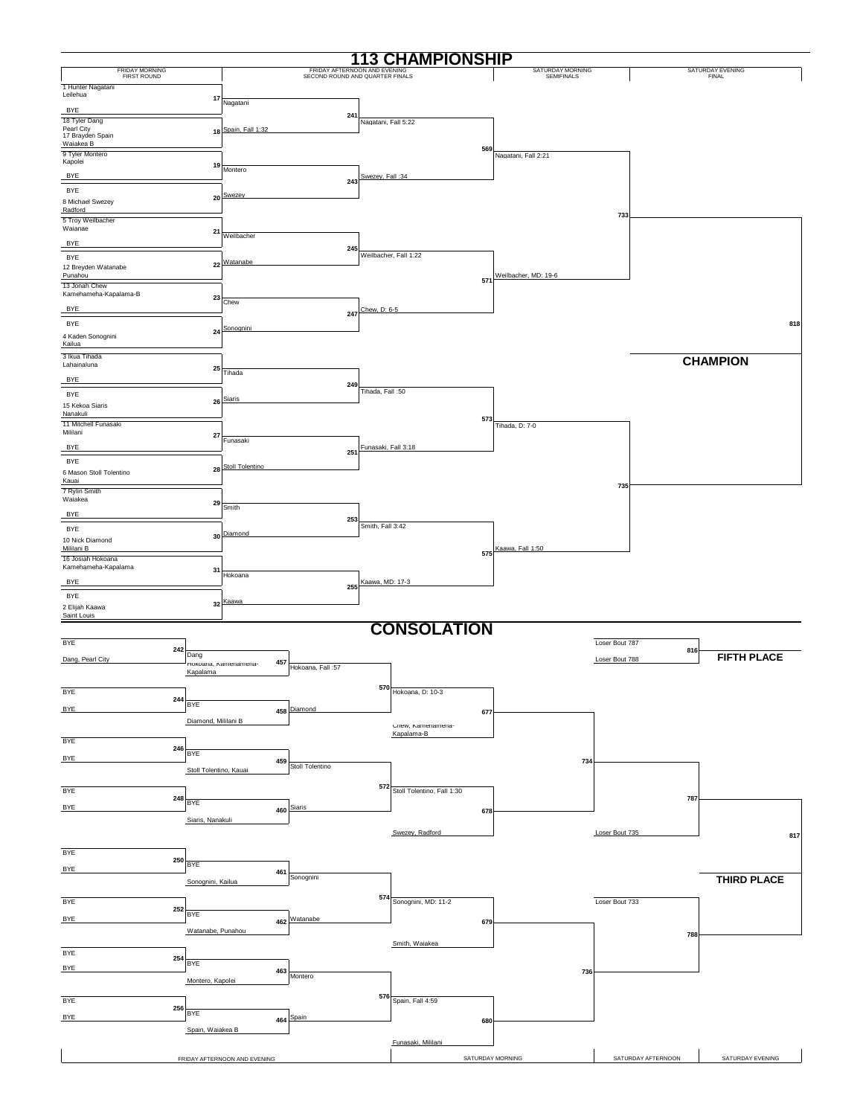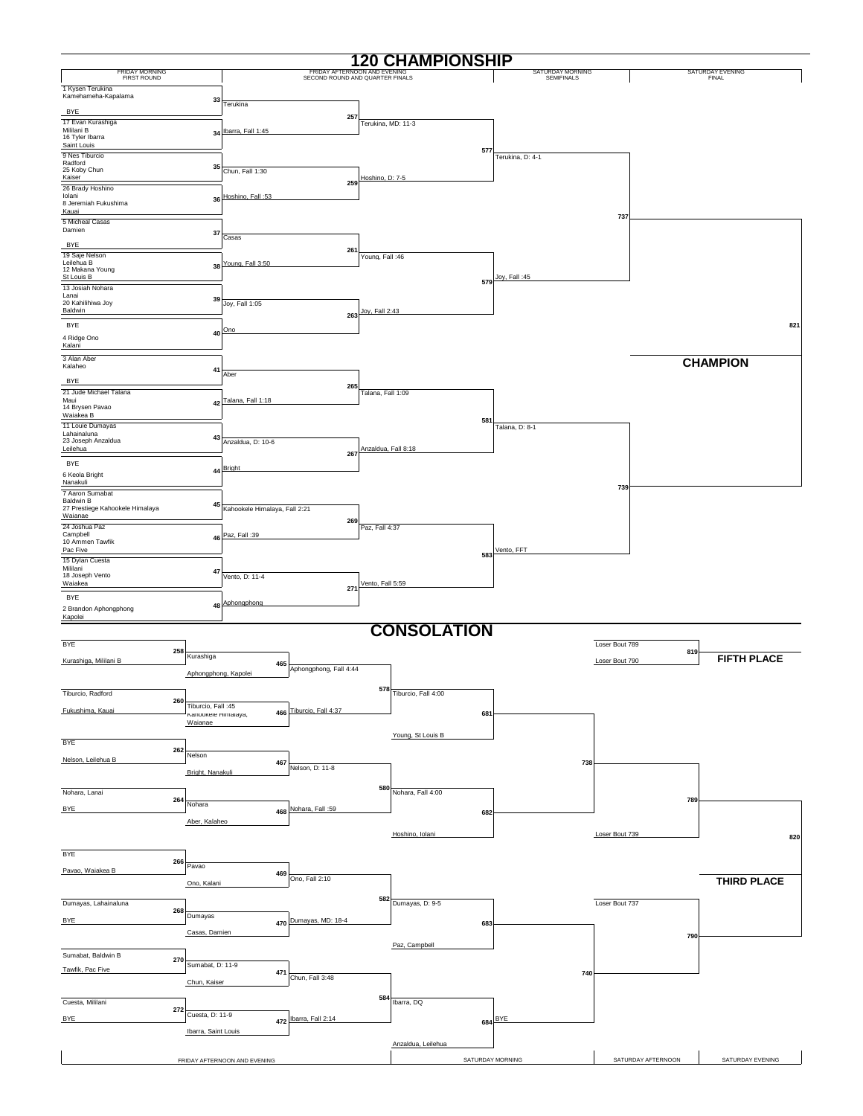|                                                     |                               |                               |                                                                 |                     | <b>120 CHAMPIONSHIP</b> |                  |                                |                    |     |                                         |
|-----------------------------------------------------|-------------------------------|-------------------------------|-----------------------------------------------------------------|---------------------|-------------------------|------------------|--------------------------------|--------------------|-----|-----------------------------------------|
| FRIDAY MORNING<br>FIRST ROUND                       |                               |                               | FRIDAY AFTERNOON AND EVENING<br>SECOND ROUND AND QUARTER FINALS |                     |                         |                  | SATURDAY MORNING<br>SEMIFINALS |                    |     | <b>SATURDAY EVENING</b><br><b>FINAL</b> |
| 1 Kysen Terukina<br>Kamehameha-Kapalama             |                               |                               |                                                                 |                     |                         |                  |                                |                    |     |                                         |
| <b>BYE</b>                                          | 33                            | Terukina                      |                                                                 |                     |                         |                  |                                |                    |     |                                         |
| 17 Evan Kurashiga                                   |                               |                               | 257                                                             | Terukina, MD: 11-3  |                         |                  |                                |                    |     |                                         |
| Mililani B<br>16 Tyler Ibarra                       |                               | 34 Ibarra, Fall 1:45          |                                                                 |                     |                         |                  |                                |                    |     |                                         |
| Saint Louis<br>9 Nes Tiburcio                       |                               |                               |                                                                 |                     |                         | 577              | Terukina, D: 4-1               |                    |     |                                         |
| Radford<br>25 Koby Chun                             | 35                            | Chun, Fall 1:30               |                                                                 |                     |                         |                  |                                |                    |     |                                         |
| Kaiser                                              |                               |                               | 259                                                             | Hoshino, D: 7-5     |                         |                  |                                |                    |     |                                         |
| 26 Brady Hoshino<br>Iolani                          |                               | 36 Hoshino, Fall: 53          |                                                                 |                     |                         |                  |                                |                    |     |                                         |
| 8 Jeremiah Fukushima<br>Kauai                       |                               |                               |                                                                 |                     |                         |                  |                                | 737                |     |                                         |
| 5 Micheal Casas<br>Damien                           |                               |                               |                                                                 |                     |                         |                  |                                |                    |     |                                         |
| <b>BYE</b>                                          | 37                            | Casas                         |                                                                 |                     |                         |                  |                                |                    |     |                                         |
| 19 Saje Nelson                                      |                               |                               | 261                                                             | Young, Fall: 46     |                         |                  |                                |                    |     |                                         |
| Leilehua B<br>12 Makana Young                       |                               | 38 Young, Fall 3:50           |                                                                 |                     |                         |                  | Joy, Fall: 45                  |                    |     |                                         |
| St Louis B<br>13 Josiah Nohara                      |                               |                               |                                                                 |                     |                         | 579              |                                |                    |     |                                         |
| Lanai<br>20 Kahilihiwa Joy                          | 39                            | Joy, Fall 1:05                |                                                                 |                     |                         |                  |                                |                    |     |                                         |
| Baldwin                                             |                               |                               | 263                                                             | Joy, Fall 2:43      |                         |                  |                                |                    |     |                                         |
| <b>BYE</b>                                          | 40                            | Ono                           |                                                                 |                     |                         |                  |                                |                    |     | 821                                     |
| 4 Ridge Ono<br>Kalani                               |                               |                               |                                                                 |                     |                         |                  |                                |                    |     |                                         |
| 3 Alan Aber                                         |                               |                               |                                                                 |                     |                         |                  |                                |                    |     | <b>CHAMPION</b>                         |
| Kalaheo<br><b>BYE</b>                               | 41                            | Aber                          |                                                                 |                     |                         |                  |                                |                    |     |                                         |
| 21 Jude Michael Talana                              |                               |                               | 265                                                             | Talana, Fall 1:09   |                         |                  |                                |                    |     |                                         |
| Maui<br>14 Brysen Pavao                             |                               | 42 Talana, Fall 1:18          |                                                                 |                     |                         |                  |                                |                    |     |                                         |
| Waiakea B<br>11 Louie Dumayas                       |                               |                               |                                                                 |                     |                         | 581              |                                |                    |     |                                         |
| Lahainaluna                                         | 43                            |                               |                                                                 |                     |                         |                  | Talana, D: 8-1                 |                    |     |                                         |
| 23 Joseph Anzaldua<br>Leilehua                      |                               | Anzaldua, D: 10-6             | 267                                                             | Anzaldua, Fall 8:18 |                         |                  |                                |                    |     |                                         |
| <b>BYE</b>                                          |                               | 44 Bright                     |                                                                 |                     |                         |                  |                                |                    |     |                                         |
| 6 Keola Bright<br>Nanakuli                          |                               |                               |                                                                 |                     |                         |                  |                                |                    |     |                                         |
| 7 Aaron Sumabat                                     |                               |                               |                                                                 |                     |                         |                  |                                | 739                |     |                                         |
| <b>Baldwin B</b><br>27 Prestiege Kahookele Himalaya | 45                            | Kahookele Himalaya, Fall 2:21 |                                                                 |                     |                         |                  |                                |                    |     |                                         |
| Waianae<br>24 Joshua Paz                            |                               |                               | 269                                                             | Paz, Fall 4:37      |                         |                  |                                |                    |     |                                         |
| Campbell<br>10 Ammen Tawfik                         |                               | 46 Paz, Fall :39              |                                                                 |                     |                         |                  |                                |                    |     |                                         |
| Pac Five                                            |                               |                               |                                                                 |                     |                         | 583              | Vento, FFT                     |                    |     |                                         |
| 15 Dylan Cuesta<br>Mililani                         | 47                            |                               |                                                                 |                     |                         |                  |                                |                    |     |                                         |
| 18 Joseph Vento<br>Waiakea                          |                               | Vento, D: 11-4                | 271                                                             | Vento, Fall 5:59    |                         |                  |                                |                    |     |                                         |
| <b>BYE</b>                                          |                               | Aphongphong                   |                                                                 |                     |                         |                  |                                |                    |     |                                         |
| 2 Brandon Aphongphong<br>Kapolei                    | 48                            |                               |                                                                 |                     |                         |                  |                                |                    |     |                                         |
|                                                     |                               |                               |                                                                 |                     | <b>CONSOLATION</b>      |                  |                                |                    |     |                                         |
| <b>BYE</b>                                          |                               |                               |                                                                 |                     |                         |                  |                                | Loser Bout 789     |     |                                         |
| 258<br>Kurashiga, Mililani B                        | Kurashiga                     |                               |                                                                 |                     |                         |                  |                                | Loser Bout 790     | 819 | <b>FIFTH PLACE</b>                      |
|                                                     | Aphongphong, Kapolei          | 465                           | Aphongphong, Fall 4:44                                          |                     |                         |                  |                                |                    |     |                                         |
| Tiburcio, Radford                                   |                               |                               |                                                                 |                     | 578 Tiburcio, Fall 4:00 |                  |                                |                    |     |                                         |
| 260                                                 | Tiburcio, Fall :45            |                               |                                                                 |                     |                         |                  |                                |                    |     |                                         |
| Fukushima, Kauai                                    | капоокею нітанауа,<br>Waianae |                               | 466 Tiburcio, Fall 4:37                                         |                     |                         | 681              |                                |                    |     |                                         |
|                                                     |                               |                               |                                                                 |                     | Young, St Louis B       |                  |                                |                    |     |                                         |
| <b>BYE</b><br>262                                   |                               |                               |                                                                 |                     |                         |                  |                                |                    |     |                                         |
| Nelson, Leilehua B                                  | Nelson                        | 467                           | Nelson, D: 11-8                                                 |                     |                         |                  | 738                            |                    |     |                                         |
|                                                     | Bright, Nanakuli              |                               |                                                                 |                     |                         |                  |                                |                    |     |                                         |
| Nohara, Lanai                                       |                               |                               |                                                                 |                     | 580 Nohara, Fall 4:00   |                  |                                |                    |     |                                         |
| 264<br><b>BYE</b>                                   | Nohara                        |                               | 468 Nohara, Fall :59                                            |                     |                         | 682              |                                |                    | 789 |                                         |
|                                                     | Aber, Kalaheo                 |                               |                                                                 |                     |                         |                  |                                |                    |     |                                         |
|                                                     |                               |                               |                                                                 |                     | Hoshino, Iolani         |                  |                                | Loser Bout 739     |     | 820                                     |
| <b>BYE</b>                                          |                               |                               |                                                                 |                     |                         |                  |                                |                    |     |                                         |
| 266<br>Pavao, Waiakea B                             | Pavao                         |                               |                                                                 |                     |                         |                  |                                |                    |     |                                         |
|                                                     | Ono, Kalani                   | 469                           | Ono, Fall 2:10                                                  |                     |                         |                  |                                |                    |     | <b>THIRD PLACE</b>                      |
|                                                     |                               |                               |                                                                 |                     |                         |                  |                                |                    |     |                                         |
| Dumayas, Lahainaluna<br>268                         | Dumayas                       |                               |                                                                 |                     | $582$ Dumayas, D: 9-5   |                  |                                | Loser Bout 737     |     |                                         |
| <b>BYE</b>                                          |                               |                               | 470 Dumayas, MD: 18-4                                           |                     |                         | 683              |                                |                    |     |                                         |
|                                                     | Casas, Damien                 |                               |                                                                 |                     | Paz, Campbell           |                  |                                |                    | 790 |                                         |
| Sumabat, Baldwin B<br>270                           |                               |                               |                                                                 |                     |                         |                  |                                |                    |     |                                         |
| Tawfik, Pac Five                                    | Sumabat, D: 11-9              | 471                           |                                                                 |                     |                         |                  | 740                            |                    |     |                                         |
|                                                     | Chun, Kaiser                  |                               | Chun, Fall 3:48                                                 |                     |                         |                  |                                |                    |     |                                         |
| Cuesta, Mililani                                    |                               |                               |                                                                 |                     | $584$ Ibarra, DQ        |                  |                                |                    |     |                                         |
| 272<br><b>BYE</b>                                   | Cuesta, D: 11-9               |                               | Ibarra, Fall 2:14                                               |                     |                         | 684 BYE          |                                |                    |     |                                         |
|                                                     | Ibarra, Saint Louis           | 472                           |                                                                 |                     |                         |                  |                                |                    |     |                                         |
|                                                     |                               |                               |                                                                 |                     | Anzaldua, Leilehua      |                  |                                |                    |     |                                         |
|                                                     |                               | FRIDAY AFTERNOON AND EVENING  |                                                                 |                     |                         | SATURDAY MORNING |                                | SATURDAY AFTERNOON |     | SATURDAY EVENING                        |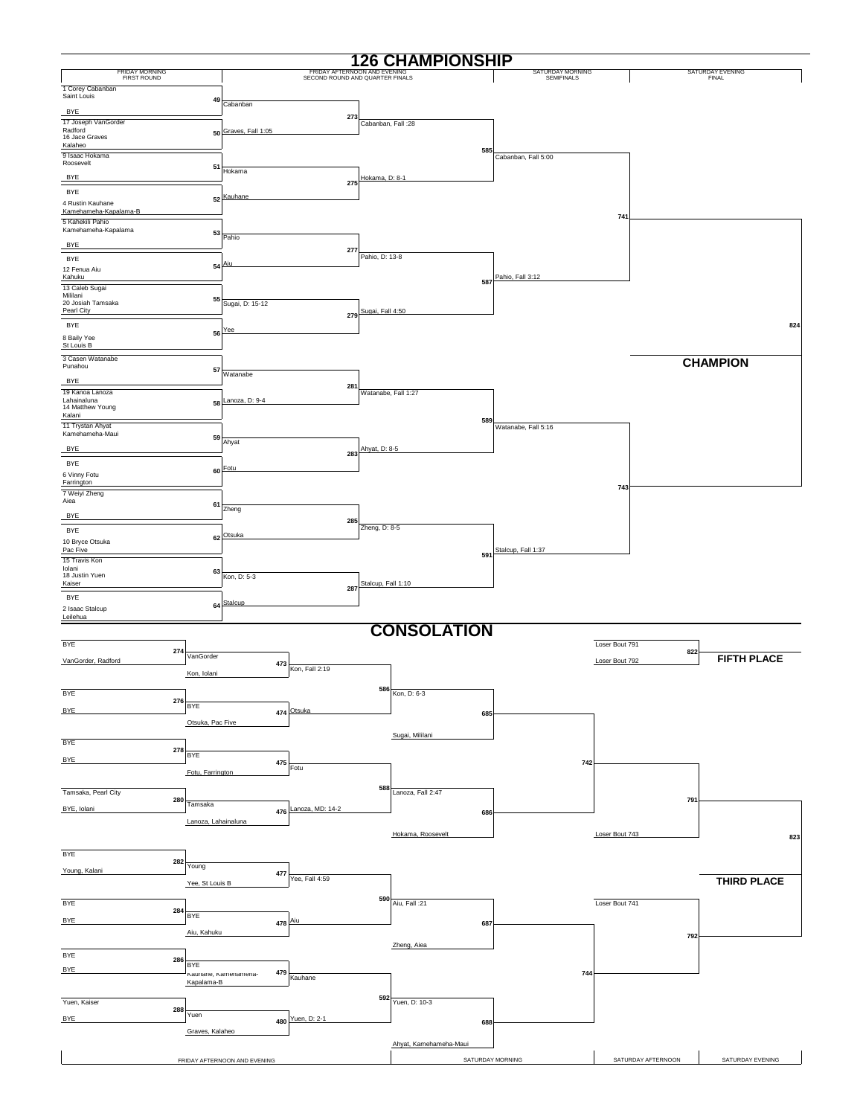|                                           |                     |                              |                                                                 |                     | <b>126 CHAMPIONSHIP</b> |                                |                    |                           |                    |
|-------------------------------------------|---------------------|------------------------------|-----------------------------------------------------------------|---------------------|-------------------------|--------------------------------|--------------------|---------------------------|--------------------|
| FRIDAY MORNING<br>FIRST ROUND             |                     |                              | FRIDAY AFTERNOON AND EVENING<br>SECOND ROUND AND QUARTER FINALS |                     |                         | SATURDAY MORNING<br>SEMIFINALS |                    | SATURDAY EVENING<br>FINAL |                    |
| 1 Corey Cabanban                          |                     |                              |                                                                 |                     |                         |                                |                    |                           |                    |
| Saint Louis                               | 49                  | Cabanban                     |                                                                 |                     |                         |                                |                    |                           |                    |
| <b>BYE</b>                                |                     |                              | 273                                                             |                     |                         |                                |                    |                           |                    |
| 17 Joseph VanGorder<br>Radford            | 50                  | Graves, Fall 1:05            |                                                                 | Cabanban, Fall : 28 |                         |                                |                    |                           |                    |
| 16 Jace Graves<br>Kalaheo                 |                     |                              |                                                                 |                     |                         |                                |                    |                           |                    |
| 9 Isaac Hokama                            |                     |                              |                                                                 |                     | 585                     | Cabanban, Fall 5:00            |                    |                           |                    |
| Roosevelt                                 | 51                  | Hokama                       |                                                                 |                     |                         |                                |                    |                           |                    |
| <b>BYE</b>                                |                     |                              | 275                                                             | Hokama, D: 8-1      |                         |                                |                    |                           |                    |
| BYE                                       |                     | 52 Kauhane                   |                                                                 |                     |                         |                                |                    |                           |                    |
| 4 Rustin Kauhane<br>Kamehameha-Kapalama-B |                     |                              |                                                                 |                     |                         |                                |                    |                           |                    |
| 5 Kahekili Pahio                          |                     |                              |                                                                 |                     |                         |                                | 741                |                           |                    |
| Kamehameha-Kapalama                       | 53                  | Pahio                        |                                                                 |                     |                         |                                |                    |                           |                    |
| <b>BYE</b>                                |                     |                              | 277                                                             |                     |                         |                                |                    |                           |                    |
| BYE                                       |                     |                              |                                                                 | Pahio, D: 13-8      |                         |                                |                    |                           |                    |
| 12 Fenua Aiu<br>Kahuku                    |                     | 54 Aiu                       |                                                                 |                     |                         | Pahio, Fall 3:12               |                    |                           |                    |
| 13 Caleb Sugai                            |                     |                              |                                                                 |                     | 587                     |                                |                    |                           |                    |
| Mililani<br>20 Josiah Tamsaka             | 55                  | Sugai, D: 15-12              |                                                                 |                     |                         |                                |                    |                           |                    |
| Pearl City                                |                     |                              | 279                                                             | Sugai, Fall 4:50    |                         |                                |                    |                           |                    |
| BYE                                       |                     | 56 Yee                       |                                                                 |                     |                         |                                |                    |                           | 824                |
| 8 Baily Yee                               |                     |                              |                                                                 |                     |                         |                                |                    |                           |                    |
| St Louis B<br>3 Casen Watanabe            |                     |                              |                                                                 |                     |                         |                                |                    |                           |                    |
| Punahou                                   | 57                  |                              |                                                                 |                     |                         |                                |                    | <b>CHAMPION</b>           |                    |
| <b>BYE</b>                                |                     | Watanabe                     |                                                                 |                     |                         |                                |                    |                           |                    |
| 19 Kanoa Lanoza                           |                     |                              | 281                                                             |                     | Watanabe, Fall 1:27     |                                |                    |                           |                    |
| Lahainaluna<br>14 Matthew Young           | 58                  | Lanoza, D: 9-4               |                                                                 |                     |                         |                                |                    |                           |                    |
| Kalani                                    |                     |                              |                                                                 |                     | 589                     |                                |                    |                           |                    |
| 11 Trystan Ahyat<br>Kamehameha-Maui       |                     |                              |                                                                 |                     |                         | Watanabe, Fall 5:16            |                    |                           |                    |
| <b>BYE</b>                                | 59                  | Ahyat                        |                                                                 | Ahyat, D: 8-5       |                         |                                |                    |                           |                    |
| BYE                                       |                     |                              | 283                                                             |                     |                         |                                |                    |                           |                    |
| 6 Vinny Fotu                              | 60                  | Fotu                         |                                                                 |                     |                         |                                |                    |                           |                    |
| Farrington                                |                     |                              |                                                                 |                     |                         |                                | 743                |                           |                    |
| 7 Weiyi Zheng<br>Aiea                     |                     |                              |                                                                 |                     |                         |                                |                    |                           |                    |
|                                           | 61                  | Zheng                        |                                                                 |                     |                         |                                |                    |                           |                    |
| <b>BYE</b>                                |                     |                              | 285                                                             | Zheng, D: 8-5       |                         |                                |                    |                           |                    |
| BYE<br>10 Bryce Otsuka                    |                     | 62 Otsuka                    |                                                                 |                     |                         |                                |                    |                           |                    |
| Pac Five                                  |                     |                              |                                                                 |                     | 591                     | Stalcup, Fall 1:37             |                    |                           |                    |
| 15 Travis Kon<br>Iolani                   |                     |                              |                                                                 |                     |                         |                                |                    |                           |                    |
| 18 Justin Yuen                            | 63                  | Kon, D: 5-3                  |                                                                 |                     |                         |                                |                    |                           |                    |
| Kaiser                                    |                     |                              | 287                                                             | Stalcup, Fall 1:10  |                         |                                |                    |                           |                    |
| BYE                                       |                     | 64 Stalcup                   |                                                                 |                     |                         |                                |                    |                           |                    |
| 2 Isaac Stalcup<br>Leilehua               |                     |                              |                                                                 |                     |                         |                                |                    |                           |                    |
|                                           |                     |                              |                                                                 |                     | <b>CONSOLATION</b>      |                                |                    |                           |                    |
| <b>BYE</b>                                |                     |                              |                                                                 |                     |                         |                                | Loser Bout 791     |                           |                    |
|                                           | 274<br>VanGorder    |                              |                                                                 |                     |                         |                                |                    | 822                       | <b>FIFTH PLACE</b> |
| VanGorder, Radford                        | Kon, Iolani         | 473                          | Kon, Fall 2:19                                                  |                     |                         |                                | Loser Bout 792     |                           |                    |
|                                           |                     |                              |                                                                 |                     |                         |                                |                    |                           |                    |
| <b>BYE</b>                                |                     |                              |                                                                 |                     | $586$ Kon, D: 6-3       |                                |                    |                           |                    |
| <b>BYE</b>                                | 276<br><b>BYE</b>   |                              | 474 Otsuka                                                      |                     | 685                     |                                |                    |                           |                    |
|                                           | Otsuka, Pac Five    |                              |                                                                 |                     |                         |                                |                    |                           |                    |
|                                           |                     |                              |                                                                 |                     | Sugai, Mililani         |                                |                    |                           |                    |
| BYE                                       | 278                 |                              |                                                                 |                     |                         |                                |                    |                           |                    |
| BYE                                       | BYE                 | 475                          |                                                                 |                     |                         | 742                            |                    |                           |                    |
|                                           | Fotu, Farrington    |                              | Fotu                                                            |                     |                         |                                |                    |                           |                    |
| Tamsaka, Pearl City                       |                     |                              |                                                                 |                     | 588 Lanoza, Fall 2:47   |                                |                    |                           |                    |
|                                           | 280<br>Tamsaka      |                              |                                                                 |                     |                         |                                |                    | 791                       |                    |
| BYE, Iolani                               |                     |                              | 476 Lanoza, MD: 14-2                                            |                     | 686                     |                                |                    |                           |                    |
|                                           | Lanoza, Lahainaluna |                              |                                                                 |                     |                         |                                |                    |                           |                    |
|                                           |                     |                              |                                                                 |                     | Hokama, Roosevelt       |                                | Loser Bout 743     |                           | 823                |
| <b>BYE</b>                                |                     |                              |                                                                 |                     |                         |                                |                    |                           |                    |
| Young, Kalani                             | 282<br>Young        |                              |                                                                 |                     |                         |                                |                    |                           |                    |
|                                           | Yee, St Louis B     | 477                          | Yee, Fall 4:59                                                  |                     |                         |                                |                    |                           | <b>THIRD PLACE</b> |
|                                           |                     |                              |                                                                 |                     |                         |                                |                    |                           |                    |
| BYE                                       | 284                 |                              |                                                                 |                     | 590 Aiu, Fall :21       |                                | Loser Bout 741     |                           |                    |
| <b>BYE</b>                                | BYE                 |                              | 478 Aiu                                                         |                     | 687                     |                                |                    |                           |                    |
|                                           | Aiu, Kahuku         |                              |                                                                 |                     |                         |                                |                    | 792                       |                    |
|                                           |                     |                              |                                                                 |                     | Zheng, Aiea             |                                |                    |                           |                    |
| BYE                                       | 286                 |                              |                                                                 |                     |                         |                                |                    |                           |                    |
| <b>BYE</b>                                | BYE                 | 479<br>Kaunane, Kamenamena-  | Kauhane                                                         |                     |                         | 744                            |                    |                           |                    |
|                                           | Kapalama-B          |                              |                                                                 |                     |                         |                                |                    |                           |                    |
| Yuen, Kaiser                              |                     |                              |                                                                 |                     | 592 Yuen, D: 10-3       |                                |                    |                           |                    |
|                                           | 288<br>Yuen         |                              |                                                                 |                     |                         |                                |                    |                           |                    |
| <b>BYE</b>                                | Graves, Kalaheo     |                              | 480 Yuen, D: 2-1                                                |                     | 688                     |                                |                    |                           |                    |
|                                           |                     |                              |                                                                 |                     | Ahyat, Kamehameha-Maui  |                                |                    |                           |                    |
|                                           |                     |                              |                                                                 |                     |                         |                                |                    |                           |                    |
|                                           |                     | FRIDAY AFTERNOON AND EVENING |                                                                 |                     |                         | SATURDAY MORNING               | SATURDAY AFTERNOON |                           | SATURDAY EVENING   |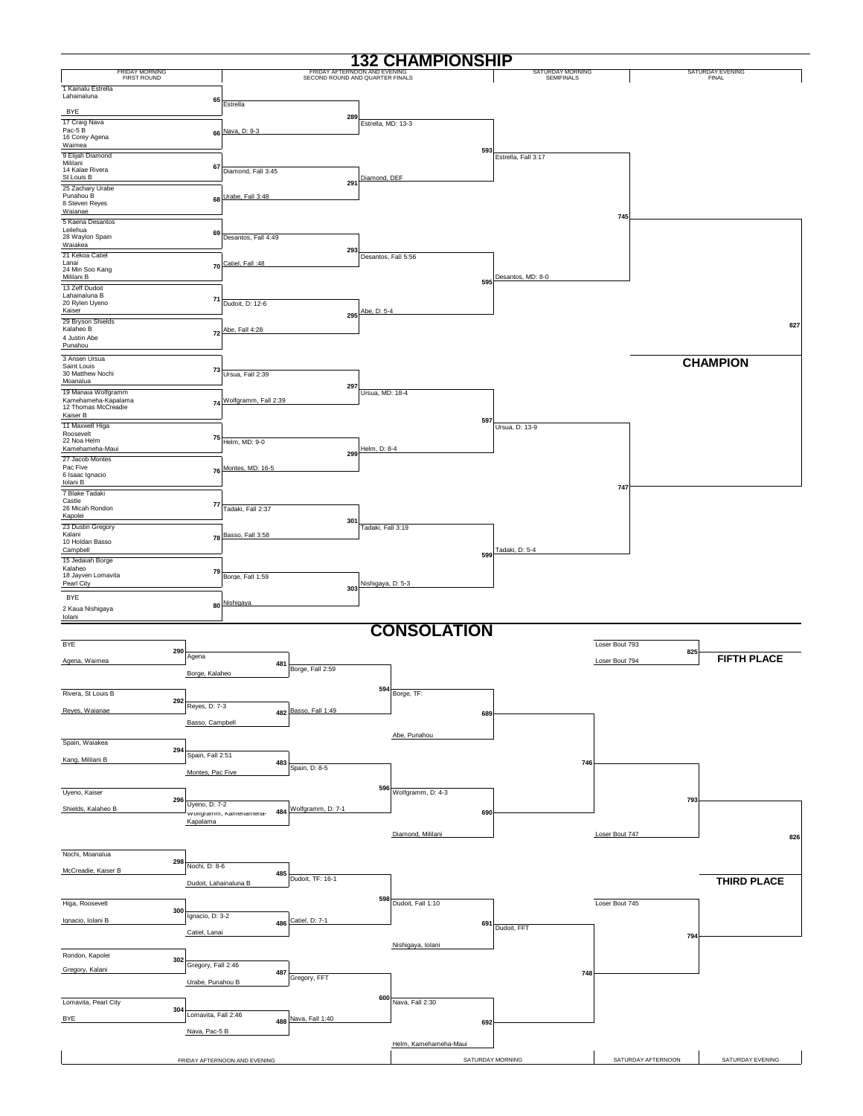|                                                 |                       |                              |                                                                 |                     | <b>132 CHAMPIONSHIP</b> |                                |                |                    |                           |
|-------------------------------------------------|-----------------------|------------------------------|-----------------------------------------------------------------|---------------------|-------------------------|--------------------------------|----------------|--------------------|---------------------------|
| <b>FRIDAY MORNING</b><br><b>FIRST ROUND</b>     |                       |                              | FRIDAY AFTERNOON AND EVENING<br>SECOND ROUND AND QUARTER FINALS |                     |                         | SATURDAY MORNING<br>SEMIFINALS |                |                    | SATURDAY EVENING<br>FINAL |
| 1 Kainalu Estrella                              |                       |                              |                                                                 |                     |                         |                                |                |                    |                           |
| Lahainaluna                                     | 65                    | Estrella                     |                                                                 |                     |                         |                                |                |                    |                           |
| BYE                                             |                       |                              | 289                                                             |                     |                         |                                |                |                    |                           |
| 17 Craig Nava<br>Pac-5B                         |                       | 66 Nava, D: 9-3              |                                                                 | Estrella, MD: 13-3  |                         |                                |                |                    |                           |
| 16 Corey Agena<br>Waimea                        |                       |                              |                                                                 |                     |                         |                                |                |                    |                           |
| 9 Elijah Diamond                                |                       |                              |                                                                 |                     | 593                     | Estrella, Fall 3:17            |                |                    |                           |
| Mililani<br>14 Kalae Rivera                     | 67                    | Diamond, Fall 3:45           |                                                                 |                     |                         |                                |                |                    |                           |
| St Louis B                                      |                       |                              | 291                                                             | Diamond, DEF        |                         |                                |                |                    |                           |
| 25 Zachary Urabe<br>Punahou B<br>8 Steven Reyes |                       | 68 Urabe, Fall 3:48          |                                                                 |                     |                         |                                |                |                    |                           |
| Waianae                                         |                       |                              |                                                                 |                     |                         |                                | 745            |                    |                           |
| 5 Kaena Desantos<br>Leilehua                    |                       |                              |                                                                 |                     |                         |                                |                |                    |                           |
| 28 Waylon Spain<br>Waiakea                      | 69                    | Desantos, Fall 4:49          |                                                                 |                     |                         |                                |                |                    |                           |
| 21 Kekoa Catiel                                 |                       |                              | 293                                                             | Desantos, Fall 5:56 |                         |                                |                |                    |                           |
| Lanai<br>24 Min Soo Kang                        |                       | 70 Catiel, Fall :48          |                                                                 |                     |                         |                                |                |                    |                           |
| Mililani B<br>13 Zeff Dudoit                    |                       |                              |                                                                 |                     | 595                     | Desantos, MD: 8-0              |                |                    |                           |
| Lahainaluna B                                   | 71                    |                              |                                                                 |                     |                         |                                |                |                    |                           |
| 20 Rylen Uyeno<br>Kaiser                        |                       | Dudoit, D: 12-6              | 295                                                             | Abe, D: 5-4         |                         |                                |                |                    |                           |
| 29 Bryson Shields<br>Kalaheo B                  |                       | 72 Abe, Fall 4:28            |                                                                 |                     |                         |                                |                |                    | 827                       |
| 4 Justin Abe                                    |                       |                              |                                                                 |                     |                         |                                |                |                    |                           |
| Punahou                                         |                       |                              |                                                                 |                     |                         |                                |                |                    |                           |
| 3 Ansen Ursua<br>Saint Louis                    | 73                    |                              |                                                                 |                     |                         |                                |                |                    | <b>CHAMPION</b>           |
| 30 Matthew Nochi<br>Moanalua                    |                       | Ursua, Fall 2:39             |                                                                 |                     |                         |                                |                |                    |                           |
| 19 Manaia Wolfgramm                             |                       |                              | 297                                                             | Ursua, MD: 18-4     |                         |                                |                |                    |                           |
| Kamehameha-Kapalama<br>12 Thomas McCreadie      |                       | 74 Wolfgramm, Fall 2:39      |                                                                 |                     |                         |                                |                |                    |                           |
| Kaiser B<br>11 Maxwell Higa                     |                       |                              |                                                                 |                     | 597                     | Ursua, D: 13-9                 |                |                    |                           |
| Roosevelt<br>22 Noa Helm                        | 75                    |                              |                                                                 |                     |                         |                                |                |                    |                           |
| Kamehameha-Maui                                 |                       | Helm, MD: 9-0                | 299                                                             | Helm, D: 8-4        |                         |                                |                |                    |                           |
| 27 Jacob Montes<br>Pac Five                     |                       | Montes, MD: 16-5             |                                                                 |                     |                         |                                |                |                    |                           |
| 6 Isaac Ignacio<br>Iolani B                     | 76                    |                              |                                                                 |                     |                         |                                |                |                    |                           |
| 7 Blake Tadaki                                  |                       |                              |                                                                 |                     |                         |                                | 747            |                    |                           |
| Castle<br>26 Micah Rondon                       | 77                    | Tadaki, Fall 2:37            |                                                                 |                     |                         |                                |                |                    |                           |
| Kapolei                                         |                       |                              | 301                                                             |                     |                         |                                |                |                    |                           |
| 23 Dustin Gregory<br>Kalani                     |                       | 78 Basso, Fall 3:58          |                                                                 | Tadaki, Fall 3:19   |                         |                                |                |                    |                           |
| 10 Holdan Basso<br>Campbell                     |                       |                              |                                                                 |                     |                         | Tadaki, D: 5-4                 |                |                    |                           |
| 15 Jedaiah Borge                                |                       |                              |                                                                 |                     | 599                     |                                |                |                    |                           |
| Kalaheo<br>18 Jayven Lomavita                   | 79                    | Borge, Fall 1:59             |                                                                 |                     |                         |                                |                |                    |                           |
| Pearl City                                      |                       |                              | 303                                                             | Nishigaya, D: 5-3   |                         |                                |                |                    |                           |
| BYE<br>2 Kaua Nishigaya                         |                       | 80 Nishigaya                 |                                                                 |                     |                         |                                |                |                    |                           |
| Iolani                                          |                       |                              |                                                                 |                     |                         |                                |                |                    |                           |
|                                                 |                       |                              |                                                                 |                     | <b>CONSOLATION</b>      |                                |                |                    |                           |
| BYE<br>290                                      |                       |                              |                                                                 |                     |                         |                                | Loser Bout 793 |                    |                           |
| Agena, Waimea                                   | Agena                 | 481                          |                                                                 |                     |                         |                                | Loser Bout 794 | 825                | <b>FIFTH PLACE</b>        |
|                                                 | Borge, Kalaheo        |                              | Borge, Fall 2:59                                                |                     |                         |                                |                |                    |                           |
| Rivera, St Louis B                              |                       |                              |                                                                 |                     | $594$ Borge, TF:        |                                |                |                    |                           |
| 292                                             | Reyes, D: 7-3         |                              |                                                                 |                     |                         |                                |                |                    |                           |
| Reyes, Waianae                                  |                       |                              | 482 Basso, Fall 1:49                                            |                     | 689                     |                                |                |                    |                           |
|                                                 | Basso, Campbell       |                              |                                                                 |                     |                         |                                |                |                    |                           |
| Spain, Waiakea                                  |                       |                              |                                                                 |                     | Abe, Punahou            |                                |                |                    |                           |
| 294<br>Kang, Mililani B                         | Spain, Fall 2:51      | 483                          |                                                                 |                     |                         | 746                            |                |                    |                           |
|                                                 | Montes, Pac Five      |                              | Spain, D: 8-5                                                   |                     |                         |                                |                |                    |                           |
| Uyeno, Kaiser                                   |                       |                              |                                                                 |                     | 596 Wolfgramm, D: $4-3$ |                                |                |                    |                           |
| 296                                             | Uyeno, D: 7-2         |                              |                                                                 |                     |                         |                                |                | 793                |                           |
| Shields, Kalaheo B                              |                       | vvoirgramm, Kamenamena-      | 484 Wolfgramm, D: 7-1                                           |                     | 690                     |                                |                |                    |                           |
|                                                 | Kapalama              |                              |                                                                 |                     |                         |                                |                |                    |                           |
|                                                 |                       |                              |                                                                 |                     | Diamond, Mililani       |                                | Loser Bout 747 |                    | 826                       |
| Nochi, Moanalua                                 |                       |                              |                                                                 |                     |                         |                                |                |                    |                           |
| 298<br>McCreadie, Kaiser B                      | Nochi, D: 8-6         | 485                          |                                                                 |                     |                         |                                |                |                    |                           |
|                                                 | Dudoit, Lahainaluna B |                              | Dudoit, TF: 16-1                                                |                     |                         |                                |                |                    | <b>THIRD PLACE</b>        |
|                                                 |                       |                              |                                                                 |                     | 598 Dudoit, Fall $1:10$ |                                |                |                    |                           |
| Higa, Roosevelt<br>300                          |                       |                              |                                                                 |                     |                         |                                | Loser Bout 745 |                    |                           |
| Ignacio, Iolani B                               | Ignacio, D: 3-2       |                              | 486 Catiel, D: 7-1                                              |                     | 691                     | Dudoit, FFT                    |                |                    |                           |
|                                                 | Catiel, Lanai         |                              |                                                                 |                     |                         |                                |                | 794                |                           |
| Rondon, Kapolei                                 |                       |                              |                                                                 |                     | Nishigaya, Iolani       |                                |                |                    |                           |
| 302<br>Gregory, Kalani                          | Gregory, Fall 2:46    |                              |                                                                 |                     |                         |                                |                |                    |                           |
|                                                 | Urabe, Punahou B      | 487                          | Gregory, FFT                                                    |                     |                         | 748                            |                |                    |                           |
|                                                 |                       |                              |                                                                 |                     |                         |                                |                |                    |                           |
| Lomavita, Pearl City<br>304                     |                       |                              |                                                                 |                     | 600 Nava, Fall 2:30     |                                |                |                    |                           |
| BYE                                             | Lomavita, Fall 2:46   |                              | 488 Nava, Fall 1:40                                             |                     | 692                     |                                |                |                    |                           |
|                                                 | Nava, Pac-5 B         |                              |                                                                 |                     |                         |                                |                |                    |                           |
|                                                 |                       |                              |                                                                 |                     | Helm, Kamehameha-Maui   |                                |                |                    |                           |
|                                                 |                       | FRIDAY AFTERNOON AND EVENING |                                                                 |                     |                         | SATURDAY MORNING               |                | SATURDAY AFTERNOON | SATURDAY EVENING          |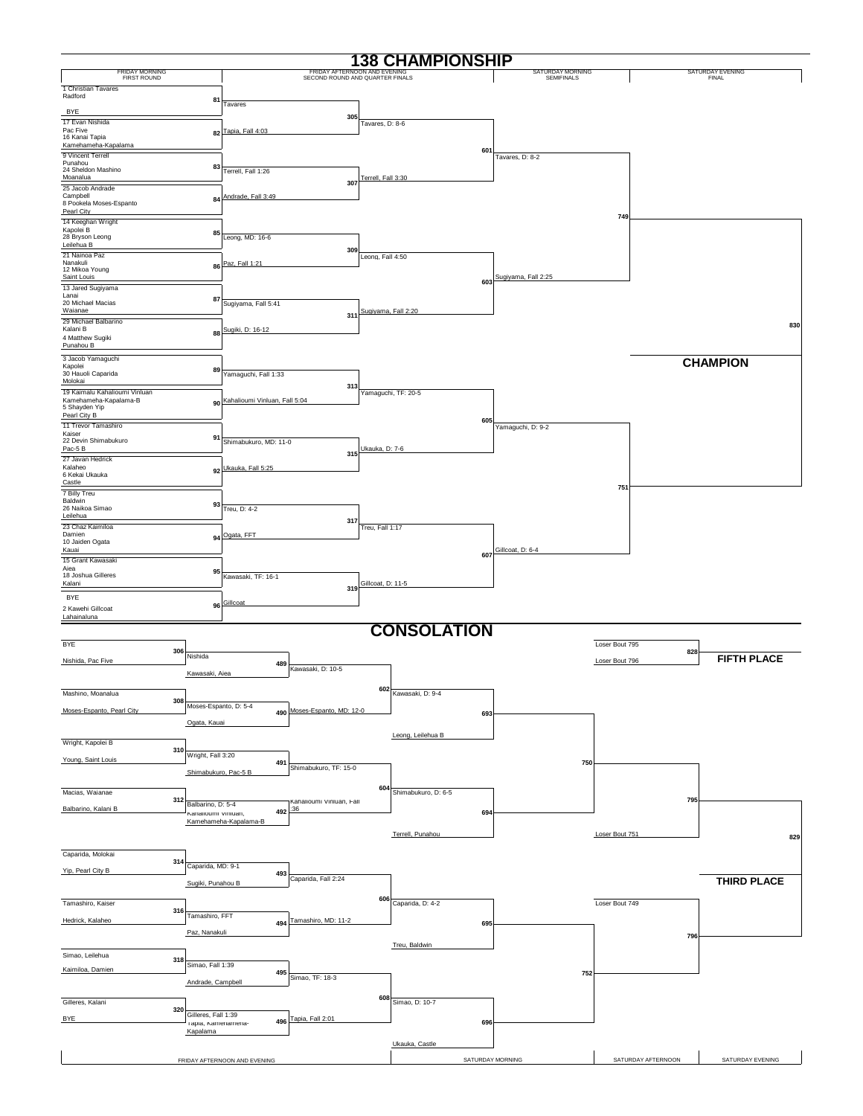| <b>138 CHAMPIONSHIP</b>                  |                                                                  |                                                                 |                                       |                                  |  |  |  |  |  |  |  |  |
|------------------------------------------|------------------------------------------------------------------|-----------------------------------------------------------------|---------------------------------------|----------------------------------|--|--|--|--|--|--|--|--|
| <b>FRIDAY MORNING</b><br>FIRST ROUND     |                                                                  | FRIDAY AFTERNOON AND EVENING<br>SECOND ROUND AND QUARTER FINALS | SATURDAY MORNING<br><b>SEMIFINALS</b> | SATURDAY EVENING<br><b>FINAL</b> |  |  |  |  |  |  |  |  |
| 1 Christian Tavares<br>Radford           |                                                                  |                                                                 |                                       |                                  |  |  |  |  |  |  |  |  |
| <b>BYE</b>                               | 81<br>Tavares                                                    |                                                                 |                                       |                                  |  |  |  |  |  |  |  |  |
| 17 Evan Nishida                          |                                                                  | 305<br>Tavares, D: 8-6                                          |                                       |                                  |  |  |  |  |  |  |  |  |
| Pac Five<br>16 Kanai Tapia               | 82 Tapia, Fall 4:03                                              |                                                                 |                                       |                                  |  |  |  |  |  |  |  |  |
| Kamehameha-Kapalama<br>9 Vincent Terrell |                                                                  | 601                                                             | Tavares, D: 8-2                       |                                  |  |  |  |  |  |  |  |  |
| Punahou<br>24 Sheldon Mashino            | 83<br>Terrell, Fall 1:26                                         |                                                                 |                                       |                                  |  |  |  |  |  |  |  |  |
| Moanalua<br>25 Jacob Andrade             |                                                                  | Terrell, Fall 3:30<br>307                                       |                                       |                                  |  |  |  |  |  |  |  |  |
| Campbell<br>8 Pookela Moses-Espanto      | 84 Andrade, Fall 3:49                                            |                                                                 |                                       |                                  |  |  |  |  |  |  |  |  |
| Pearl City<br>14 Keeghan Wright          |                                                                  |                                                                 | 749                                   |                                  |  |  |  |  |  |  |  |  |
| Kapolei B<br>28 Bryson Leong             | 85                                                               |                                                                 |                                       |                                  |  |  |  |  |  |  |  |  |
| Leilehua B                               | Leong, MD: 16-6                                                  | 309                                                             |                                       |                                  |  |  |  |  |  |  |  |  |
| 21 Nainoa Paz<br>Nanakuli                | 86 Paz. Fall 1:21                                                | Leong, Fall 4:50                                                |                                       |                                  |  |  |  |  |  |  |  |  |
| 12 Mikoa Young<br>Saint Louis            |                                                                  | 603                                                             | Sugiyama, Fall 2:25                   |                                  |  |  |  |  |  |  |  |  |
| 13 Jared Sugiyama<br>Lanai               | 87                                                               |                                                                 |                                       |                                  |  |  |  |  |  |  |  |  |
| 20 Michael Macias<br>Waianae             | Sugiyama, Fall 5:41                                              | Sugiyama, Fall 2:20<br>311                                      |                                       |                                  |  |  |  |  |  |  |  |  |
| 29 Michael Balbarino<br>Kalani B         | Sugiki, D: 16-12                                                 |                                                                 |                                       | 830                              |  |  |  |  |  |  |  |  |
| 4 Matthew Sugiki<br>Punahou B            | 88                                                               |                                                                 |                                       |                                  |  |  |  |  |  |  |  |  |
| 3 Jacob Yamaguchi                        |                                                                  |                                                                 |                                       | <b>CHAMPION</b>                  |  |  |  |  |  |  |  |  |
| Kapolei<br>30 Hauoli Caparida            | 89<br>Yamaguchi, Fall 1:33                                       |                                                                 |                                       |                                  |  |  |  |  |  |  |  |  |
| Molokai<br>19 Kaimalu Kahalioumi Vinluan |                                                                  | 313<br>Yamaguchi, TF: 20-5                                      |                                       |                                  |  |  |  |  |  |  |  |  |
| Kamehameha-Kapalama-B<br>5 Shayden Yip   | 90 Kahalioumi Vinluan, Fall 5:04                                 |                                                                 |                                       |                                  |  |  |  |  |  |  |  |  |
| Pearl City B<br>11 Trevor Tamashiro      |                                                                  | 605                                                             |                                       |                                  |  |  |  |  |  |  |  |  |
| Kaiser<br>22 Devin Shimabukuro           | 91<br>Shimabukuro, MD: 11-0                                      |                                                                 | Yamaquchi, D: 9-2                     |                                  |  |  |  |  |  |  |  |  |
| Pac-5B                                   |                                                                  | Ukauka, D: 7-6<br>315                                           |                                       |                                  |  |  |  |  |  |  |  |  |
| 27 Javan Hedrick<br>Kalaheo              | 92 Ukauka, Fall 5:25                                             |                                                                 |                                       |                                  |  |  |  |  |  |  |  |  |
| 6 Kekai Ukauka<br>Castle                 |                                                                  |                                                                 | 751                                   |                                  |  |  |  |  |  |  |  |  |
| 7 Billy Treu<br>Baldwin                  |                                                                  |                                                                 |                                       |                                  |  |  |  |  |  |  |  |  |
| 26 Naikoa Simao<br>Leilehua              | 93<br>Treu, D: 4-2                                               |                                                                 |                                       |                                  |  |  |  |  |  |  |  |  |
| 23 Chaz Kaimiloa<br>Damien               |                                                                  | 317<br>Treu, Fall 1:17                                          |                                       |                                  |  |  |  |  |  |  |  |  |
| 10 Jaiden Ogata                          | 94 Ogata, FFT                                                    |                                                                 | Gillcoat, D: 6-4                      |                                  |  |  |  |  |  |  |  |  |
| Kauai<br>15 Grant Kawasaki               |                                                                  | 607                                                             |                                       |                                  |  |  |  |  |  |  |  |  |
| Aiea<br>18 Joshua Gilleres               | 95<br>Kawasaki, TF: 16-1                                         |                                                                 |                                       |                                  |  |  |  |  |  |  |  |  |
| Kalani<br><b>BYE</b>                     |                                                                  | Gillcoat, D: 11-5<br>319                                        |                                       |                                  |  |  |  |  |  |  |  |  |
| 2 Kawehi Gillcoat                        | 96 Gillcoat                                                      |                                                                 |                                       |                                  |  |  |  |  |  |  |  |  |
| Lahainaluna                              |                                                                  | <b>CONSOLATION</b>                                              |                                       |                                  |  |  |  |  |  |  |  |  |
| <b>BYE</b>                               |                                                                  |                                                                 | Loser Bout 795                        |                                  |  |  |  |  |  |  |  |  |
| 306<br>Nishida<br>Nishida, Pac Five      |                                                                  |                                                                 |                                       | 828<br><b>FIFTH PLACE</b>        |  |  |  |  |  |  |  |  |
|                                          | 489<br>Kawasaki, D: 10-5<br>Kawasaki, Aiea                       |                                                                 | Loser Bout 796                        |                                  |  |  |  |  |  |  |  |  |
|                                          |                                                                  | 602                                                             |                                       |                                  |  |  |  |  |  |  |  |  |
| Mashino, Moanalua<br>308                 | Moses-Espanto, D: 5-4                                            | Kawasaki, D: 9-4                                                |                                       |                                  |  |  |  |  |  |  |  |  |
| Moses-Espanto, Pearl City                | 490 Moses-Espanto, MD: 12-0<br>Ogata, Kauai                      | 693                                                             |                                       |                                  |  |  |  |  |  |  |  |  |
|                                          |                                                                  | Leong, Leilehua B                                               |                                       |                                  |  |  |  |  |  |  |  |  |
| Wright, Kapolei B<br>310                 | Wright, Fall 3:20                                                |                                                                 |                                       |                                  |  |  |  |  |  |  |  |  |
| Young, Saint Louis                       | 491<br>Shimabukuro, TF: 15-0                                     |                                                                 | 750                                   |                                  |  |  |  |  |  |  |  |  |
|                                          | Shimabukuro, Pac-5 B                                             |                                                                 |                                       |                                  |  |  |  |  |  |  |  |  |
| Macias, Waianae<br>312                   | Kahalioumi Vinluan, Fall                                         | 604<br>Shimabukuro, D: 6-5                                      |                                       | 795                              |  |  |  |  |  |  |  |  |
| Balbarino, Kalani B                      | Balbarino, D: 5-4<br>492 : 36<br>Kanalloumi viniuan,             | 694                                                             |                                       |                                  |  |  |  |  |  |  |  |  |
|                                          | Kamehameha-Kapalama-B                                            | Terrell, Punahou                                                | Loser Bout 751                        |                                  |  |  |  |  |  |  |  |  |
|                                          |                                                                  |                                                                 |                                       | 829                              |  |  |  |  |  |  |  |  |
| Caparida, Molokai<br>314                 | Caparida, MD: 9-1                                                |                                                                 |                                       |                                  |  |  |  |  |  |  |  |  |
| Yip, Pearl City B                        | 493<br>Caparida, Fall 2:24                                       |                                                                 |                                       | <b>THIRD PLACE</b>               |  |  |  |  |  |  |  |  |
|                                          | Sugiki, Punahou B                                                |                                                                 |                                       |                                  |  |  |  |  |  |  |  |  |
| Tamashiro, Kaiser<br>316                 |                                                                  | 606<br>Caparida, D: 4-2                                         | Loser Bout 749                        |                                  |  |  |  |  |  |  |  |  |
| Hedrick, Kalaheo                         | Tamashiro, FFT<br>Tamashiro, MD: 11-2<br>494                     | 695                                                             |                                       |                                  |  |  |  |  |  |  |  |  |
|                                          | Paz, Nanakuli                                                    | Treu, Baldwin                                                   |                                       | 796                              |  |  |  |  |  |  |  |  |
| Simao, Leilehua<br>318                   |                                                                  |                                                                 |                                       |                                  |  |  |  |  |  |  |  |  |
| Kaimiloa, Damien                         | Simao, Fall 1:39<br>495<br>Simao, TF: 18-3                       |                                                                 | 752                                   |                                  |  |  |  |  |  |  |  |  |
|                                          | Andrade, Campbell                                                |                                                                 |                                       |                                  |  |  |  |  |  |  |  |  |
| Gilleres, Kalani<br>320                  |                                                                  | 608<br>Simao, D: 10-7                                           |                                       |                                  |  |  |  |  |  |  |  |  |
| <b>BYE</b>                               | Gilleres, Fall 1:39<br>496 Tapia, Fall 2:01<br>apia, Kamenamena- | 696                                                             |                                       |                                  |  |  |  |  |  |  |  |  |
|                                          | Kapalama                                                         |                                                                 |                                       |                                  |  |  |  |  |  |  |  |  |
|                                          |                                                                  | Ukauka, Castle                                                  |                                       |                                  |  |  |  |  |  |  |  |  |
|                                          | FRIDAY AFTERNOON AND EVENING                                     | SATURDAY MORNING                                                | SATURDAY AFTERNOON                    | SATURDAY EVENING                 |  |  |  |  |  |  |  |  |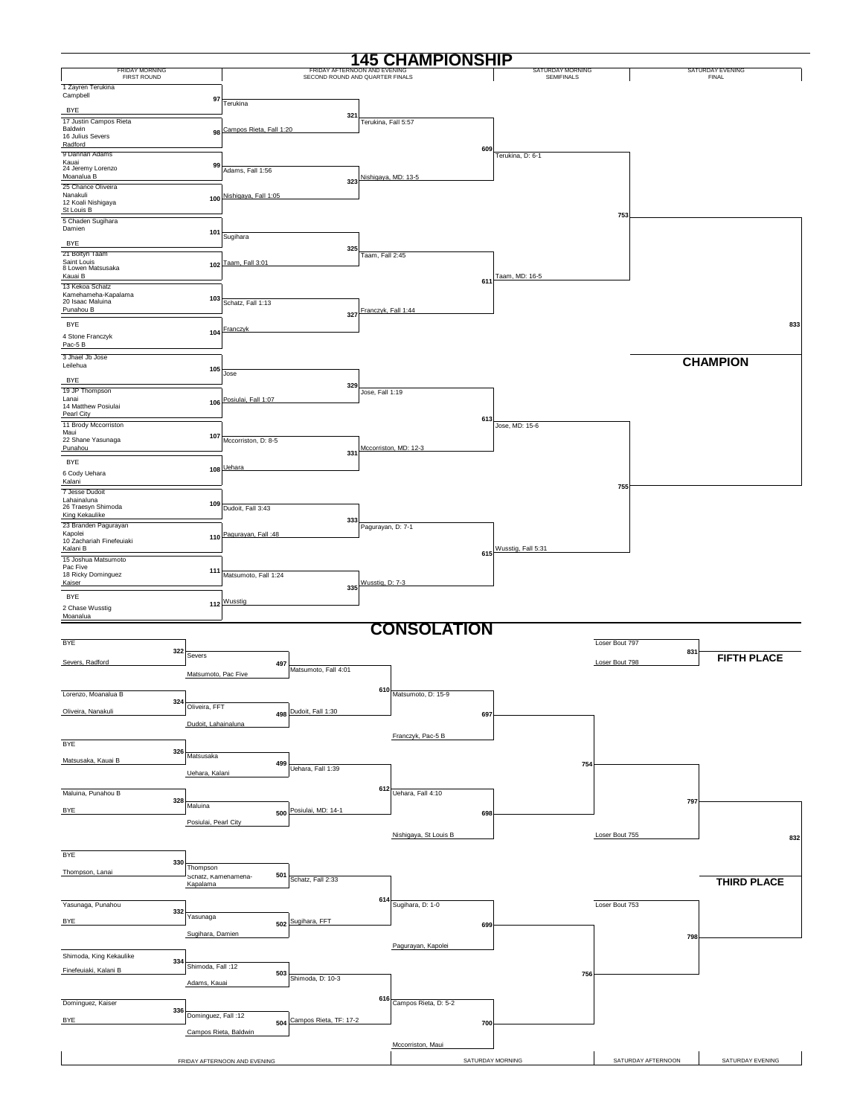|                                                       |                                        |                              |                                                                 |                     | <b>145 CHAMPIONSHIP</b>  |                                       |                    |                           |
|-------------------------------------------------------|----------------------------------------|------------------------------|-----------------------------------------------------------------|---------------------|--------------------------|---------------------------------------|--------------------|---------------------------|
| <b>FRIDAY MORNING</b><br><b>FIRST ROUND</b>           |                                        |                              | FRIDAY AFTERNOON AND EVENING<br>SECOND ROUND AND QUARTER FINALS |                     |                          | SATURDAY MORNING<br><b>SEMIFINALS</b> |                    | SATURDAY EVENING<br>FINAL |
| 1 Zayren Terukina<br>Campbell                         | 97                                     |                              |                                                                 |                     |                          |                                       |                    |                           |
| <b>BYE</b>                                            |                                        | Terukina                     | 321                                                             |                     |                          |                                       |                    |                           |
| 17 Justin Campos Rieta<br>Baldwin<br>16 Julius Severs |                                        | 98 Campos Rieta, Fall 1:20   |                                                                 | Terukina, Fall 5:57 |                          |                                       |                    |                           |
| Radford                                               |                                        |                              |                                                                 |                     | 609                      |                                       |                    |                           |
| 9 Dannan Adams<br>Kauai<br>24 Jeremy Lorenzo          | 99                                     |                              |                                                                 |                     |                          | Terukina, D: 6-1                      |                    |                           |
| Moanalua B<br>25 Chance Oliveira                      |                                        | Adams, Fall 1:56             | 323                                                             | Nishigava, MD: 13-5 |                          |                                       |                    |                           |
| Nanakuli<br>12 Koali Nishigaya                        |                                        | 100 Nishigaya, Fall 1:05     |                                                                 |                     |                          |                                       |                    |                           |
| St Louis B<br>5 Chaden Sugihara                       |                                        |                              |                                                                 |                     |                          |                                       | 753                |                           |
| Damien                                                | 101                                    | Sugihara                     |                                                                 |                     |                          |                                       |                    |                           |
| BYE<br>21 Boltyn Taam                                 |                                        |                              | 325                                                             |                     |                          |                                       |                    |                           |
| Saint Louis<br>8 Lowen Matsusaka                      |                                        | 102 Taam, Fall 3:01          |                                                                 | Taam, Fall 2:45     |                          |                                       |                    |                           |
| Kauai B<br>13 Kekoa Schatz                            |                                        |                              |                                                                 |                     | 611                      | Taam, MD: 16-5                        |                    |                           |
| Kamehameha-Kapalama<br>20 Isaac Maluina               | 103                                    | Schatz, Fall 1:13            |                                                                 |                     |                          |                                       |                    |                           |
| Punahou B                                             |                                        |                              | 327                                                             | Franczyk, Fall 1:44 |                          |                                       |                    |                           |
| BYE<br>4 Stone Franczyk                               |                                        | 104 Franczyk                 |                                                                 |                     |                          |                                       |                    | 833                       |
| Pac-5 B                                               |                                        |                              |                                                                 |                     |                          |                                       |                    |                           |
| 3 Jhael Jb Jose<br>Leilehua                           | 105                                    |                              |                                                                 |                     |                          |                                       |                    | <b>CHAMPION</b>           |
| <b>BYE</b>                                            |                                        | Jose                         | 329                                                             |                     |                          |                                       |                    |                           |
| 19 JP Thompson<br>Lanai                               |                                        | 106 Posiulai, Fall 1:07      |                                                                 | Jose, Fall 1:19     |                          |                                       |                    |                           |
| 14 Matthew Posiulai<br>Pearl City                     |                                        |                              |                                                                 |                     | 613                      |                                       |                    |                           |
| 11 Brody Mccorriston<br>Maui<br>22 Shane Yasunaga     | 107                                    |                              |                                                                 |                     |                          | Jose, MD: 15-6                        |                    |                           |
| Punahou                                               |                                        | Mccorriston, D: 8-5          | 331                                                             |                     | Mccorriston, MD: 12-3    |                                       |                    |                           |
| <b>BYE</b><br>6 Cody Uehara                           |                                        | 108 Uehara                   |                                                                 |                     |                          |                                       |                    |                           |
| Kalani<br>7 Jesse Dudoit                              |                                        |                              |                                                                 |                     |                          |                                       | 755                |                           |
| Lahainaluna<br>26 Traesyn Shimoda                     | 109 <sub>1</sub>                       | Dudoit, Fall 3:43            |                                                                 |                     |                          |                                       |                    |                           |
| King Kekaulike<br>23 Branden Pagurayan                |                                        |                              | 333                                                             |                     |                          |                                       |                    |                           |
| Kapolei<br>10 Zachariah Finefeuiaki                   |                                        | 110 Pagurayan, Fall :48      |                                                                 | Pagurayan, D: 7-1   |                          |                                       |                    |                           |
| Kalani B<br>15 Joshua Matsumoto                       |                                        |                              |                                                                 |                     | 615                      | Wusstig, Fall 5:31                    |                    |                           |
| Pac Five<br>18 Ricky Dominguez                        | 111                                    | Matsumoto, Fall 1:24         |                                                                 |                     |                          |                                       |                    |                           |
| Kaiser<br><b>BYE</b>                                  |                                        |                              | 335                                                             | Wusstig, D: 7-3     |                          |                                       |                    |                           |
| 2 Chase Wusstig<br>Moanalua                           |                                        | 112 Wusstig                  |                                                                 |                     |                          |                                       |                    |                           |
|                                                       |                                        |                              |                                                                 |                     | <b>CONSOLATION</b>       |                                       |                    |                           |
| BYE                                                   | 322                                    |                              |                                                                 |                     |                          |                                       | Loser Bout 797     |                           |
| Severs, Radford                                       | Severs                                 | 497                          |                                                                 |                     |                          |                                       | Loser Bout 798     | 831<br><b>FIFTH PLACE</b> |
|                                                       | Matsumoto, Pac Five                    |                              | Matsumoto, Fall 4:01                                            |                     |                          |                                       |                    |                           |
| Lorenzo, Moanalua B                                   | 324                                    |                              |                                                                 | 610                 | Matsumoto, D: 15-9       |                                       |                    |                           |
| Oliveira, Nanakuli                                    | Oliveira, FFT                          |                              | 498 Dudoit, Fall 1:30                                           |                     | 697                      |                                       |                    |                           |
|                                                       | Dudoit, Lahainaluna                    |                              |                                                                 |                     | Franczyk, Pac-5 B        |                                       |                    |                           |
| <b>BYE</b>                                            | 326                                    |                              |                                                                 |                     |                          |                                       |                    |                           |
| Matsusaka, Kauai B                                    | Matsusaka                              | 499                          | Uehara, Fall 1:39                                               |                     |                          | 754                                   |                    |                           |
|                                                       | Uehara, Kalani                         |                              |                                                                 |                     |                          |                                       |                    |                           |
| Maluina, Punahou B                                    | 328<br>Maluina                         |                              |                                                                 |                     | 612 Uehara, Fall $4:10$  |                                       |                    | 797                       |
| <b>BYE</b>                                            | Posiulai, Pearl City                   | 500                          | Posiulai, MD: 14-1                                              |                     | 698                      |                                       |                    |                           |
|                                                       |                                        |                              |                                                                 |                     | Nishigaya, St Louis B    |                                       | Loser Bout 755     | 832                       |
| BYE                                                   |                                        |                              |                                                                 |                     |                          |                                       |                    |                           |
| Thompson, Lanai                                       | 330<br>Thompson<br>Schatz, Kamenamena- | 501                          |                                                                 |                     |                          |                                       |                    |                           |
|                                                       | Kapalama                               |                              | Schatz, Fall 2:33                                               |                     |                          |                                       |                    | <b>THIRD PLACE</b>        |
| Yasunaga, Punahou                                     | 332                                    |                              |                                                                 |                     | $614$ Sugihara, D: 1-0   |                                       | Loser Bout 753     |                           |
| <b>BYE</b>                                            | Yasunaga                               |                              | 502 Sugihara, FFT                                               |                     | 699                      |                                       |                    |                           |
|                                                       | Sugihara, Damien                       |                              |                                                                 |                     | Pagurayan, Kapolei       |                                       |                    | 798                       |
| Shimoda, King Kekaulike                               | 334                                    |                              |                                                                 |                     |                          |                                       |                    |                           |
| Finefeuiaki, Kalani B                                 | Shimoda, Fall: 12                      | 503                          | Shimoda, D: 10-3                                                |                     |                          | 756                                   |                    |                           |
|                                                       | Adams, Kauai                           |                              |                                                                 |                     |                          |                                       |                    |                           |
| Dominguez, Kaiser                                     | 336<br>Dominguez, Fall: 12             |                              |                                                                 |                     | 616 Campos Rieta, D: 5-2 |                                       |                    |                           |
| <b>BYE</b>                                            | Campos Rieta, Baldwin                  | 504                          | Campos Rieta, TF: 17-2                                          |                     | 700                      |                                       |                    |                           |
|                                                       |                                        |                              |                                                                 |                     | Mccorriston, Maui        |                                       |                    |                           |
|                                                       |                                        | FRIDAY AFTERNOON AND EVENING |                                                                 |                     |                          | SATURDAY MORNING                      | SATURDAY AFTERNOON | SATURDAY EVENING          |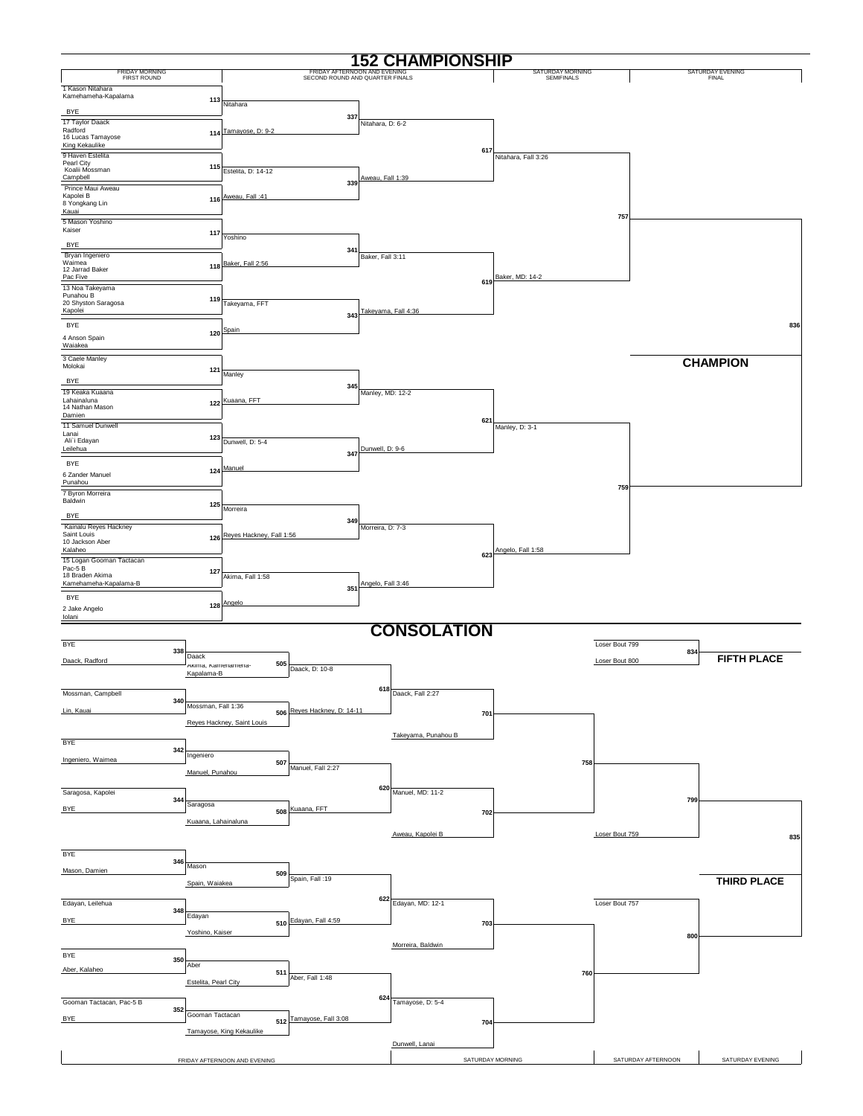|                                             |                                  |                              |                                                                 |                   | <b>152 CHAMPIONSHIP</b> |                                |                |                    |                                  |
|---------------------------------------------|----------------------------------|------------------------------|-----------------------------------------------------------------|-------------------|-------------------------|--------------------------------|----------------|--------------------|----------------------------------|
| <b>FRIDAY MORNING</b><br><b>FIRST ROUND</b> |                                  |                              | FRIDAY AFTERNOON AND EVENING<br>SECOND ROUND AND QUARTER FINALS |                   |                         | SATURDAY MORNING<br>SEMIFINALS |                |                    | SATURDAY EVENING<br><b>FINAL</b> |
| 1 Kason Nitahara<br>Kamehameha-Kapalama     |                                  |                              |                                                                 |                   |                         |                                |                |                    |                                  |
| <b>BYE</b>                                  | 113                              | Nitahara                     |                                                                 |                   |                         |                                |                |                    |                                  |
| 17 Taylor Daack                             |                                  |                              | 337                                                             | Nitahara, D: 6-2  |                         |                                |                |                    |                                  |
| Radford<br>16 Lucas Tamayose                | 114                              | Tamayose, D: 9-2             |                                                                 |                   |                         |                                |                |                    |                                  |
| King Kekaulike<br>9 Haven Estelita          |                                  |                              |                                                                 |                   |                         | 617<br>Nitahara, Fall 3:26     |                |                    |                                  |
| Pearl City<br>Koalii Mossman                | 115                              | Estelita, D: 14-12           |                                                                 |                   |                         |                                |                |                    |                                  |
| Campbell                                    |                                  |                              | 339                                                             | Aweau, Fall 1:39  |                         |                                |                |                    |                                  |
| Prince Maui Aweau<br>Kapolei B              | 116                              | Aweau, Fall: 41              |                                                                 |                   |                         |                                |                |                    |                                  |
| 8 Yongkang Lin<br>Kauai                     |                                  |                              |                                                                 |                   |                         |                                | 757            |                    |                                  |
| 5 Mason Yoshino<br>Kaiser                   |                                  |                              |                                                                 |                   |                         |                                |                |                    |                                  |
| <b>BYE</b>                                  | 117                              | Yoshino                      |                                                                 |                   |                         |                                |                |                    |                                  |
| Bryan Ingeniero                             |                                  |                              | 341                                                             | Baker, Fall 3:11  |                         |                                |                |                    |                                  |
| Waimea<br>12 Jarrad Baker                   | 118                              | Baker, Fall 2:56             |                                                                 |                   |                         |                                |                |                    |                                  |
| Pac Five<br>13 Noa Takeyama                 |                                  |                              |                                                                 |                   |                         | Baker, MD: 14-2<br>619         |                |                    |                                  |
| Punahou B<br>20 Shyston Saragosa            | 119                              | Takeyama, FFT                |                                                                 |                   |                         |                                |                |                    |                                  |
| Kapolei                                     |                                  |                              | 343                                                             |                   | Takeyama, Fall 4:36     |                                |                |                    |                                  |
| <b>BYE</b>                                  | 120                              | Spain                        |                                                                 |                   |                         |                                |                |                    | 836                              |
| 4 Anson Spain<br>Waiakea                    |                                  |                              |                                                                 |                   |                         |                                |                |                    |                                  |
| 3 Caele Manley                              |                                  |                              |                                                                 |                   |                         |                                |                |                    | <b>CHAMPION</b>                  |
| Molokai                                     | 121                              | Manley                       |                                                                 |                   |                         |                                |                |                    |                                  |
| <b>BYE</b><br>19 Keaka Kuaana               |                                  |                              | 345                                                             | Manley, MD: 12-2  |                         |                                |                |                    |                                  |
| Lahainaluna<br>14 Nathan Mason              |                                  | 122 Kuaana, FFT              |                                                                 |                   |                         |                                |                |                    |                                  |
| Damien                                      |                                  |                              |                                                                 |                   |                         | 621                            |                |                    |                                  |
| 11 Samuel Dunwell<br>Lanai                  | 123                              |                              |                                                                 |                   |                         | Manley, D: 3-1                 |                |                    |                                  |
| Ali`i Edayan<br>Leilehua                    |                                  | Dunwell, D: 5-4              |                                                                 | Dunwell, D: 9-6   |                         |                                |                |                    |                                  |
| <b>BYE</b>                                  |                                  |                              | 347                                                             |                   |                         |                                |                |                    |                                  |
| 6 Zander Manuel                             | 124                              | Manuel                       |                                                                 |                   |                         |                                |                |                    |                                  |
| Punahou<br>7 Byron Morreira                 |                                  |                              |                                                                 |                   |                         |                                | 759            |                    |                                  |
| Baldwin                                     | 125                              | Morreira                     |                                                                 |                   |                         |                                |                |                    |                                  |
| <b>BYE</b><br>Kainalu Reyes Hackney         |                                  |                              | 349                                                             |                   |                         |                                |                |                    |                                  |
| Saint Louis<br>10 Jackson Aber              |                                  | 126 Reyes Hackney, Fall 1:56 |                                                                 | Morreira, D: 7-3  |                         |                                |                |                    |                                  |
| Kalaheo                                     |                                  |                              |                                                                 |                   |                         | Angelo, Fall 1:58<br>623       |                |                    |                                  |
| 15 Logan Gooman Tactacan<br>Pac-5B          |                                  |                              |                                                                 |                   |                         |                                |                |                    |                                  |
| 18 Braden Akima<br>Kamehameha-Kapalama-B    | 127                              | Akima, Fall 1:58             |                                                                 | Angelo, Fall 3:46 |                         |                                |                |                    |                                  |
| <b>BYE</b>                                  |                                  |                              | 351                                                             |                   |                         |                                |                |                    |                                  |
| 2 Jake Angelo<br>lolani                     |                                  | 128 Angelo                   |                                                                 |                   |                         |                                |                |                    |                                  |
|                                             |                                  |                              |                                                                 |                   | <b>CONSOLATION</b>      |                                |                |                    |                                  |
| <b>BYE</b>                                  |                                  |                              |                                                                 |                   |                         |                                | Loser Bout 799 |                    |                                  |
| 338<br>Daack, Radford                       | Daack                            | 505                          |                                                                 |                   |                         |                                | Loser Bout 800 | 834                | <b>FIFTH PLACE</b>               |
|                                             | Akıma, Kamenamena-<br>Kapalama-B |                              | Daack, D: 10-8                                                  |                   |                         |                                |                |                    |                                  |
| Mossman, Campbell                           |                                  |                              |                                                                 |                   | $618$ Daack, Fall 2:27  |                                |                |                    |                                  |
| 340                                         | Mossman, Fall 1:36               |                              |                                                                 |                   |                         |                                |                |                    |                                  |
| Lin, Kauai                                  |                                  | Reyes Hackney, Saint Louis   | 506 Reyes Hackney, D: 14-11                                     |                   |                         | 701                            |                |                    |                                  |
|                                             |                                  |                              |                                                                 |                   | Takeyama, Punahou B     |                                |                |                    |                                  |
| <b>BYE</b><br>342                           |                                  |                              |                                                                 |                   |                         |                                |                |                    |                                  |
| Ingeniero, Waimea                           | Ingeniero                        | 507                          | Manuel, Fall 2:27                                               |                   |                         | 758                            |                |                    |                                  |
|                                             | Manuel, Punahou                  |                              |                                                                 |                   |                         |                                |                |                    |                                  |
| Saragosa, Kapolei<br>344                    |                                  |                              |                                                                 |                   | 620 Manuel, MD: 11-2    |                                |                | 799                |                                  |
| <b>BYE</b>                                  | Saragosa                         |                              | 508 Kuaana, FFT                                                 |                   |                         | 702                            |                |                    |                                  |
|                                             | Kuaana, Lahainaluna              |                              |                                                                 |                   |                         |                                |                |                    |                                  |
|                                             |                                  |                              |                                                                 |                   | Aweau, Kapolei B        |                                | Loser Bout 759 |                    | 835                              |
| <b>BYE</b>                                  |                                  |                              |                                                                 |                   |                         |                                |                |                    |                                  |
| 346<br>Mason, Damien                        | Mason                            | 509                          |                                                                 |                   |                         |                                |                |                    |                                  |
|                                             | Spain, Waiakea                   |                              | Spain, Fall: 19                                                 |                   |                         |                                |                |                    | <b>THIRD PLACE</b>               |
| Edayan, Leilehua                            |                                  |                              |                                                                 | 622               | Edayan, MD: 12-1        |                                | Loser Bout 757 |                    |                                  |
| 348<br><b>BYE</b>                           | Edayan                           |                              | 510 Edayan, Fall 4:59                                           |                   |                         |                                |                |                    |                                  |
|                                             | Yoshino, Kaiser                  |                              |                                                                 |                   |                         | 703                            |                | 800                |                                  |
|                                             |                                  |                              |                                                                 |                   | Morreira, Baldwin       |                                |                |                    |                                  |
| BYE<br>350                                  | Aber                             |                              |                                                                 |                   |                         |                                |                |                    |                                  |
| Aber, Kalaheo                               | Estelita, Pearl City             | 511                          | Aber, Fall 1:48                                                 |                   |                         | 760                            |                |                    |                                  |
|                                             |                                  |                              |                                                                 |                   |                         |                                |                |                    |                                  |
| Gooman Tactacan, Pac-5 B<br>352             |                                  |                              |                                                                 |                   | 624 Tamayose, D: $5-4$  |                                |                |                    |                                  |
| <b>BYE</b>                                  | Gooman Tactacan                  | 512                          | Tamayose, Fall 3:08                                             |                   |                         | 704                            |                |                    |                                  |
|                                             |                                  | Tamayose, King Kekaulike     |                                                                 |                   | Dunwell, Lanai          |                                |                |                    |                                  |
|                                             |                                  | FRIDAY AFTERNOON AND EVENING |                                                                 |                   |                         | SATURDAY MORNING               |                | SATURDAY AFTERNOON | SATURDAY EVENING                 |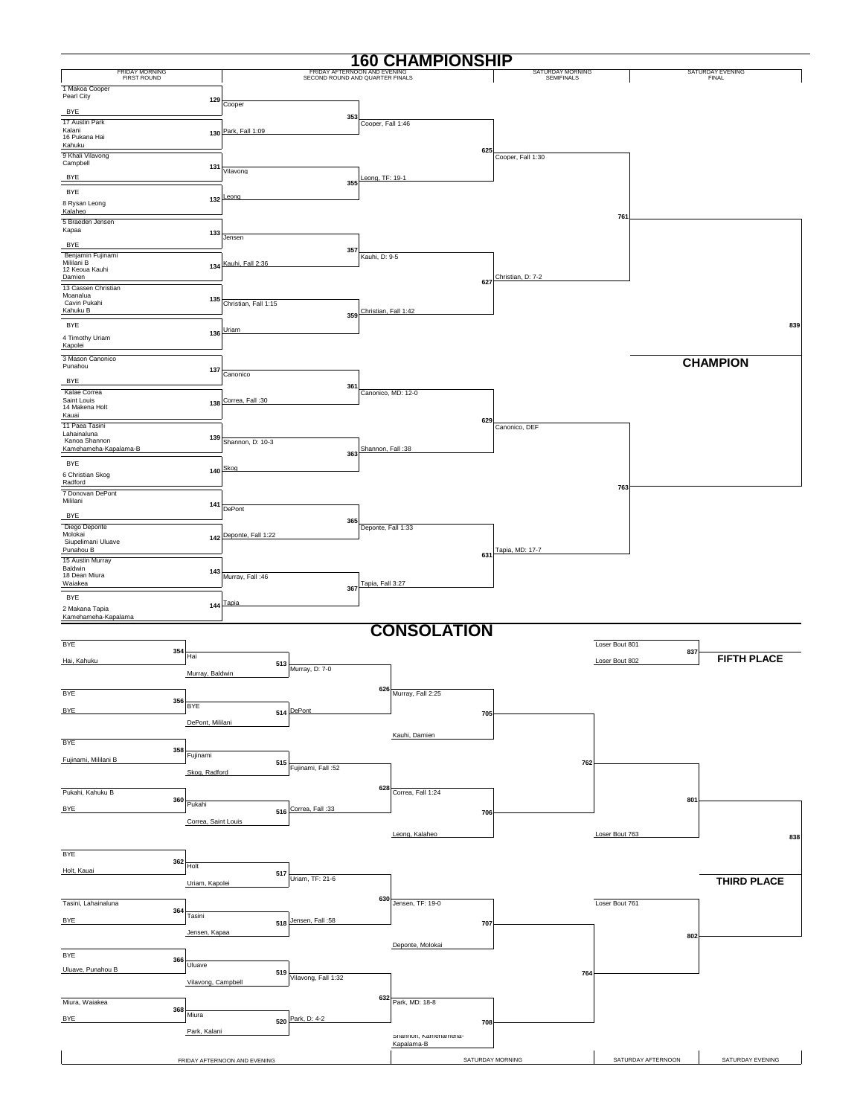|                                             |                     |                              |                                                                 |                             | <b>160 CHAMPIONSHIP</b> |                                |                    |     |                           |
|---------------------------------------------|---------------------|------------------------------|-----------------------------------------------------------------|-----------------------------|-------------------------|--------------------------------|--------------------|-----|---------------------------|
| <b>FRIDAY MORNING</b><br><b>FIRST ROUND</b> |                     |                              | FRIDAY AFTERNOON AND EVENING<br>SECOND ROUND AND QUARTER FINALS |                             |                         | SATURDAY MORNING<br>SEMIFINALS |                    |     | SATURDAY EVENING<br>FINAL |
| 1 Makoa Cooper                              |                     |                              |                                                                 |                             |                         |                                |                    |     |                           |
| Pearl City                                  | 129                 | Cooper                       |                                                                 |                             |                         |                                |                    |     |                           |
| <b>BYE</b><br>17 Austin Park                |                     |                              |                                                                 | 353<br>Cooper, Fall 1:46    |                         |                                |                    |     |                           |
| Kalani<br>16 Pukana Hai                     |                     | 130 Park, Fall 1:09          |                                                                 |                             |                         |                                |                    |     |                           |
| Kahuku                                      |                     |                              |                                                                 |                             | 625                     |                                |                    |     |                           |
| 9 Khali Vilavong<br>Campbell                | 131                 |                              |                                                                 |                             |                         | Cooper, Fall 1:30              |                    |     |                           |
| <b>BYE</b>                                  |                     | Vilavong                     |                                                                 | Leona, TF: 19-1<br>355      |                         |                                |                    |     |                           |
| <b>BYE</b>                                  |                     |                              |                                                                 |                             |                         |                                |                    |     |                           |
| 8 Rysan Leong<br>Kalaheo                    |                     | 132 Leong                    |                                                                 |                             |                         |                                |                    |     |                           |
| 5 Braeden Jensen                            |                     |                              |                                                                 |                             |                         |                                | 761                |     |                           |
| Kapaa                                       | 133                 | Jensen                       |                                                                 |                             |                         |                                |                    |     |                           |
| <b>BYE</b><br>Benjamin Fujinami             |                     |                              |                                                                 | 357<br>Kauhi, D: 9-5        |                         |                                |                    |     |                           |
| Mililani B<br>12 Keoua Kauhi                |                     | 134 Kauhi, Fall 2:36         |                                                                 |                             |                         |                                |                    |     |                           |
| Damien                                      |                     |                              |                                                                 |                             | 627                     | Christian, D: 7-2              |                    |     |                           |
| 13 Cassen Christian<br>Moanalua             | 135                 |                              |                                                                 |                             |                         |                                |                    |     |                           |
| Cavin Pukahi<br>Kahuku B                    |                     | Christian, Fall 1:15         |                                                                 | Christian, Fall 1:42<br>359 |                         |                                |                    |     |                           |
| <b>BYE</b>                                  |                     |                              |                                                                 |                             |                         |                                |                    |     | 839                       |
| 4 Timothy Uriam                             |                     | 136 Uriam                    |                                                                 |                             |                         |                                |                    |     |                           |
| Kapolei<br>3 Mason Canonico                 |                     |                              |                                                                 |                             |                         |                                |                    |     |                           |
| Punahou                                     | 137                 | Canonico                     |                                                                 |                             |                         |                                |                    |     | <b>CHAMPION</b>           |
| <b>BYE</b>                                  |                     |                              |                                                                 | 361                         |                         |                                |                    |     |                           |
| Kalae Correa<br>Saint Louis                 |                     | 138 Correa, Fall:30          |                                                                 |                             | Canonico, MD: 12-0      |                                |                    |     |                           |
| 14 Makena Holt<br>Kauai                     |                     |                              |                                                                 |                             | 629                     |                                |                    |     |                           |
| 11 Paea Tasini<br>Lahainaluna               |                     |                              |                                                                 |                             |                         | Canonico, DEF                  |                    |     |                           |
| Kanoa Shannon<br>Kamehameha-Kapalama-B      | 139                 | Shannon, D: 10-3             |                                                                 | Shannon, Fall: 38           |                         |                                |                    |     |                           |
| <b>BYE</b>                                  |                     |                              |                                                                 | 363                         |                         |                                |                    |     |                           |
| 6 Christian Skog                            | 140                 | Skog                         |                                                                 |                             |                         |                                |                    |     |                           |
| Radford<br>7 Donovan DePont                 |                     |                              |                                                                 |                             |                         |                                | 763                |     |                           |
| Mililani                                    | 141                 | DePont                       |                                                                 |                             |                         |                                |                    |     |                           |
| <b>BYE</b>                                  |                     |                              |                                                                 | 365                         |                         |                                |                    |     |                           |
| Diego Deponte<br>Molokai                    |                     | 142 Deponte, Fall 1:22       |                                                                 | Deponte, Fall 1:33          |                         |                                |                    |     |                           |
| Siupelimani Uluave<br>Punahou B             |                     |                              |                                                                 |                             | 631                     | Tapia, MD: 17-7                |                    |     |                           |
| 15 Austin Murray<br>Baldwin                 |                     |                              |                                                                 |                             |                         |                                |                    |     |                           |
| 18 Dean Miura<br>Waiakea                    |                     | 143 Murray, Fall :46         |                                                                 | Tapia, Fall 3:27            |                         |                                |                    |     |                           |
| <b>BYE</b>                                  |                     | 144 Tapia                    |                                                                 | 367                         |                         |                                |                    |     |                           |
| 2 Makana Tapia<br>Kamehameha-Kapalama       |                     |                              |                                                                 |                             |                         |                                |                    |     |                           |
|                                             |                     |                              |                                                                 |                             | <b>CONSOLATION</b>      |                                |                    |     |                           |
| BYE                                         |                     |                              |                                                                 |                             |                         |                                | Loser Bout 801     |     |                           |
| 354<br>Hai, Kahuku                          | Hai                 | 513                          |                                                                 |                             |                         |                                | Loser Bout 802     | 837 | <b>FIFTH PLACE</b>        |
|                                             | Murray, Baldwin     |                              | Murray, D: 7-0                                                  |                             |                         |                                |                    |     |                           |
| <b>BYE</b>                                  |                     |                              |                                                                 |                             | $626$ Murray, Fall 2:25 |                                |                    |     |                           |
| 356<br>BYE                                  | <b>BYE</b>          |                              | 514 DePont                                                      |                             |                         |                                |                    |     |                           |
|                                             | DePont, Mililani    |                              |                                                                 |                             | 705                     |                                |                    |     |                           |
| <b>BYE</b>                                  |                     |                              |                                                                 |                             | Kauhi, Damien           |                                |                    |     |                           |
| 358                                         | Fujinami            |                              |                                                                 |                             |                         |                                |                    |     |                           |
| Fujinami, Mililani B                        | Skog, Radford       | 515                          | Fujinami, Fall:52                                               |                             |                         | 762                            |                    |     |                           |
|                                             |                     |                              |                                                                 |                             |                         |                                |                    |     |                           |
| Pukahi, Kahuku B<br>360                     | Pukahi              |                              |                                                                 |                             | 628 Correa, Fall 1:24   |                                |                    | 801 |                           |
| <b>BYE</b>                                  | Correa, Saint Louis |                              | 516 Correa, Fall:33                                             |                             | 706                     |                                |                    |     |                           |
|                                             |                     |                              |                                                                 |                             | Leong, Kalaheo          |                                | Loser Bout 763     |     | 838                       |
|                                             |                     |                              |                                                                 |                             |                         |                                |                    |     |                           |
| BYE<br>362                                  | Holt                |                              |                                                                 |                             |                         |                                |                    |     |                           |
| Holt, Kauai                                 | Uriam, Kapolei      | 517                          | Uriam, TF: 21-6                                                 |                             |                         |                                |                    |     | THIRD PLACE               |
|                                             |                     |                              |                                                                 | 630                         |                         |                                |                    |     |                           |
| Tasini, Lahainaluna<br>364                  |                     |                              |                                                                 |                             | Jensen, TF: 19-0        |                                | Loser Bout 761     |     |                           |
| <b>BYE</b>                                  | Tasini              |                              | 518 Jensen, Fall: 58                                            |                             | 707                     |                                |                    |     |                           |
|                                             | Jensen, Kapaa       |                              |                                                                 |                             | Deponte, Molokai        |                                |                    | 802 |                           |
| BYE<br>366                                  |                     |                              |                                                                 |                             |                         |                                |                    |     |                           |
| Uluave, Punahou B                           | Uluave              | 519                          |                                                                 |                             |                         | 764                            |                    |     |                           |
|                                             | Vilavong, Campbell  |                              | Vilavong, Fall 1:32                                             |                             |                         |                                |                    |     |                           |
| Miura, Waiakea                              |                     |                              |                                                                 |                             | 632 Park, MD: 18-8      |                                |                    |     |                           |
| 368<br><b>BYE</b>                           | Miura               | 520                          | Park, D: 4-2                                                    |                             | 708                     |                                |                    |     |                           |
|                                             | Park, Kalani        |                              |                                                                 |                             | Shannon, Kamenamena-    |                                |                    |     |                           |
|                                             |                     |                              |                                                                 |                             | Kapalama-B              |                                |                    |     |                           |
|                                             |                     | FRIDAY AFTERNOON AND EVENING |                                                                 |                             |                         | SATURDAY MORNING               | SATURDAY AFTERNOON |     | SATURDAY EVENING          |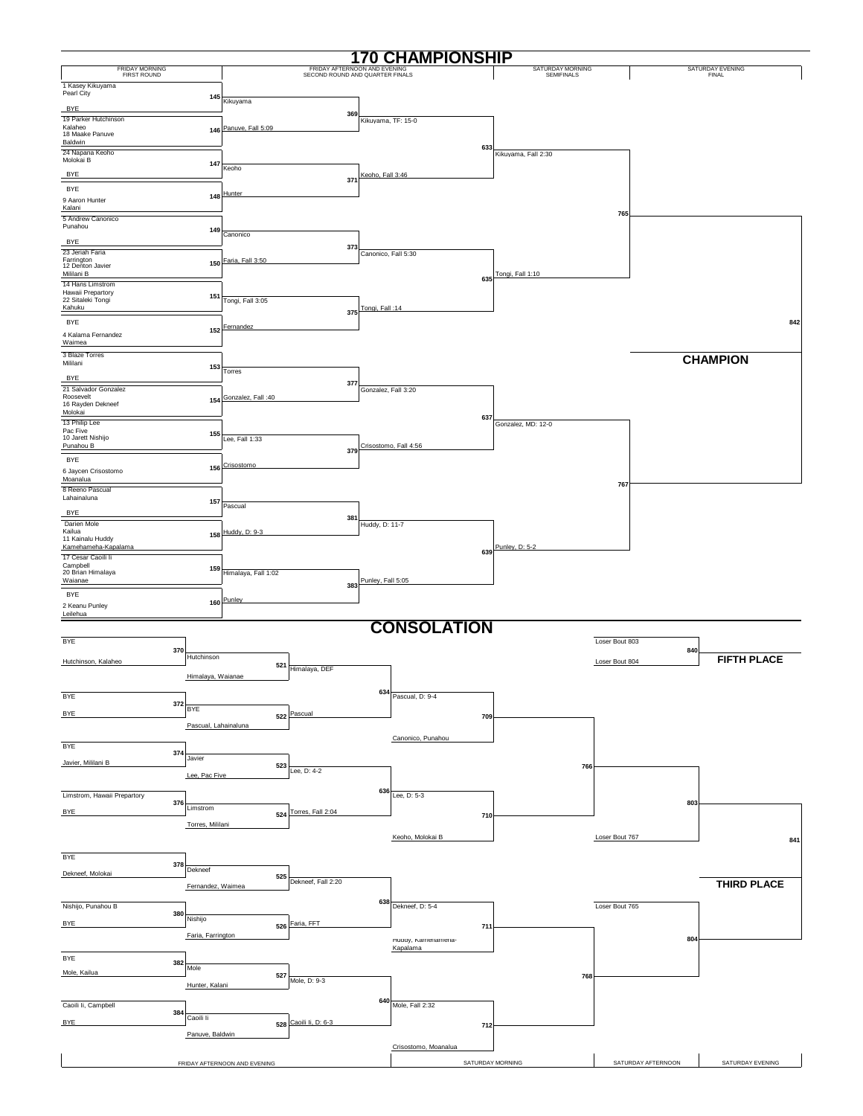|                                           |                      |                              | 1                                                               |                     | <b>70 CHAMPIONSHIP</b>         |                                |                       |                           |
|-------------------------------------------|----------------------|------------------------------|-----------------------------------------------------------------|---------------------|--------------------------------|--------------------------------|-----------------------|---------------------------|
| FRIDAY MORNING<br>FIRST ROUND             |                      |                              | FRIDAY AFTERNOON AND EVENING<br>SECOND ROUND AND QUARTER FINALS |                     |                                | SATURDAY MORNING<br>SEMIFINALS |                       | SATURDAY EVENING<br>FINAL |
| 1 Kasey Kikuyama                          |                      |                              |                                                                 |                     |                                |                                |                       |                           |
| Pearl City                                | 145                  | Kikuyama                     |                                                                 |                     |                                |                                |                       |                           |
| <b>BYE</b><br>19 Parker Hutchinson        |                      |                              | 369                                                             |                     |                                |                                |                       |                           |
| Kalaheo                                   |                      | 146 Panuve, Fall 5:09        |                                                                 | Kikuyama, TF: 15-0  |                                |                                |                       |                           |
| 18 Maake Panuve<br>Baldwin                |                      |                              |                                                                 |                     |                                |                                |                       |                           |
| 24 Napana Keoho<br>Molokai B              |                      |                              |                                                                 |                     | 633                            | Kikuyama, Fall 2:30            |                       |                           |
|                                           | 147                  | Keoho                        |                                                                 |                     |                                |                                |                       |                           |
| <b>BYE</b><br><b>BYE</b>                  |                      |                              | 371                                                             | Keoho, Fall 3:46    |                                |                                |                       |                           |
| 9 Aaron Hunter                            |                      | 148 Hunter                   |                                                                 |                     |                                |                                |                       |                           |
| Kalani                                    |                      |                              |                                                                 |                     |                                |                                | 765                   |                           |
| 5 Andrew Canonico<br>Punahou              | 149                  |                              |                                                                 |                     |                                |                                |                       |                           |
| <b>BYE</b>                                |                      | Canonico                     |                                                                 |                     |                                |                                |                       |                           |
| 23 Jeriah Faria                           |                      |                              | 373                                                             | Canonico, Fall 5:30 |                                |                                |                       |                           |
| Farrington<br>12 Denton Javier            |                      | 150 Faria, Fall 3:50         |                                                                 |                     |                                |                                |                       |                           |
| Mililani B<br>14 Hans Limstrom            |                      |                              |                                                                 |                     | 635                            | Tongi, Fall 1:10               |                       |                           |
| Hawaii Prepartory<br>22 Sitaleki Tongi    | 151                  | Tongi, Fall 3:05             |                                                                 |                     |                                |                                |                       |                           |
| Kahuku                                    |                      |                              | 375                                                             | Tongi, Fall: 14     |                                |                                |                       |                           |
| <b>BYE</b>                                |                      | 152 Fernandez                |                                                                 |                     |                                |                                |                       | 842                       |
| 4 Kalama Fernandez<br>Waimea              |                      |                              |                                                                 |                     |                                |                                |                       |                           |
| 3 Blaze Torres                            |                      |                              |                                                                 |                     |                                |                                |                       | <b>CHAMPION</b>           |
| Mililani                                  | 153                  | Torres                       |                                                                 |                     |                                |                                |                       |                           |
| <b>BYE</b>                                |                      |                              | 377                                                             |                     |                                |                                |                       |                           |
| 21 Salvador Gonzalez<br>Roosevelt         | 154                  | Gonzalez, Fall: 40           |                                                                 | Gonzalez, Fall 3:20 |                                |                                |                       |                           |
| 16 Rayden Dekneef<br>Molokai              |                      |                              |                                                                 |                     |                                |                                |                       |                           |
| 13 Philip Lee<br>Pac Five                 |                      |                              |                                                                 |                     | 637                            | Gonzalez, MD: 12-0             |                       |                           |
| 10 Jarett Nishijo                         | 155                  | Lee, Fall 1:33               |                                                                 |                     |                                |                                |                       |                           |
| Punahou B                                 |                      |                              | 379                                                             |                     | Crisostomo, Fall 4:56          |                                |                       |                           |
| <b>BYE</b><br>6 Jaycen Crisostomo         |                      | 156 Crisostomo               |                                                                 |                     |                                |                                |                       |                           |
| Moanalua                                  |                      |                              |                                                                 |                     |                                |                                | 767                   |                           |
| 8 Reeno Pascual<br>Lahainaluna            |                      |                              |                                                                 |                     |                                |                                |                       |                           |
| <b>BYE</b>                                | 157                  | Pascual                      |                                                                 |                     |                                |                                |                       |                           |
| Darien Mole                               |                      |                              | 381                                                             | Huddy, D: 11-7      |                                |                                |                       |                           |
| Kailua<br>11 Kainalu Huddy                |                      | 158 Huddy, D: 9-3            |                                                                 |                     |                                |                                |                       |                           |
| Kamehameha-Kapalama<br>17 Cesar Caoili li |                      |                              |                                                                 |                     | 639                            | Punley, D: 5-2                 |                       |                           |
| Campbell<br>20 Brian Himalaya             | 159                  | Himalaya, Fall 1:02          |                                                                 |                     |                                |                                |                       |                           |
| Waianae                                   |                      |                              | 383                                                             | Punley, Fall 5:05   |                                |                                |                       |                           |
| <b>BYE</b>                                |                      | 160 Punley                   |                                                                 |                     |                                |                                |                       |                           |
| 2 Keanu Punley<br>Leilehua                |                      |                              |                                                                 |                     |                                |                                |                       |                           |
|                                           |                      |                              |                                                                 |                     | <b>CONSOLATION</b>             |                                |                       |                           |
| BYE                                       |                      |                              |                                                                 |                     |                                |                                | Loser Bout 803        |                           |
| Hutchinson, Kalaheo                       | 370<br>Hutchinson    |                              |                                                                 |                     |                                |                                | 840<br>Loser Bout 804 | <b>FIFTH PLACE</b>        |
|                                           |                      | 521                          | Himalaya, DEF                                                   |                     |                                |                                |                       |                           |
|                                           | Himalaya, Waianae    |                              |                                                                 |                     |                                |                                |                       |                           |
| BYE                                       | 372                  |                              |                                                                 | 634                 | Pascual, D: 9-4                |                                |                       |                           |
| BYE                                       | <b>BYE</b>           |                              | 522 Pascual                                                     |                     | 709                            |                                |                       |                           |
|                                           | Pascual, Lahainaluna |                              |                                                                 |                     |                                |                                |                       |                           |
| BYE                                       |                      |                              |                                                                 |                     | Canonico, Punahou              |                                |                       |                           |
| Javier, Mililani B                        | 374<br>Javier        |                              |                                                                 |                     |                                |                                |                       |                           |
|                                           | Lee, Pac Five        | 523                          | Lee, D: 4-2                                                     |                     |                                | 766                            |                       |                           |
|                                           |                      |                              |                                                                 | 636                 |                                |                                |                       |                           |
| Limstrom, Hawaii Prepartory               | 376<br>Limstrom      |                              |                                                                 |                     | Lee, D: 5-3                    |                                | 803                   |                           |
| <b>BYE</b>                                |                      | 524                          | Torres, Fall 2:04                                               |                     | 710                            |                                |                       |                           |
|                                           | Torres, Mililani     |                              |                                                                 |                     | Keoho, Molokai B               |                                | Loser Bout 767        |                           |
|                                           |                      |                              |                                                                 |                     |                                |                                |                       | 841                       |
| <b>BYE</b>                                | 378                  |                              |                                                                 |                     |                                |                                |                       |                           |
| Dekneef, Molokai                          | Dekneef              | 525                          |                                                                 |                     |                                |                                |                       |                           |
|                                           | Fernandez, Waimea    |                              | Dekneef, Fall 2:20                                              |                     |                                |                                |                       | <b>THIRD PLACE</b>        |
| Nishijo, Punahou B                        |                      |                              |                                                                 | 638                 | Dekneef, D: 5-4                |                                | Loser Bout 765        |                           |
| <b>BYE</b>                                | 380<br>Nishijo       |                              | Faria, FFT                                                      |                     |                                |                                |                       |                           |
|                                           | Faria, Farrington    | 526                          |                                                                 |                     | 711                            |                                | 804                   |                           |
|                                           |                      |                              |                                                                 |                     | Huddy, Kamenamena-<br>Kapalama |                                |                       |                           |
| BYE                                       | 382<br>Mole          |                              |                                                                 |                     |                                |                                |                       |                           |
| Mole, Kailua                              |                      | 527                          | Mole, D: 9-3                                                    |                     |                                | 768                            |                       |                           |
|                                           | Hunter, Kalani       |                              |                                                                 |                     |                                |                                |                       |                           |
| Caoili Ii, Campbell                       |                      |                              |                                                                 |                     | $640$ Mole, Fall 2:32          |                                |                       |                           |
| <b>BYE</b>                                | 384<br>Caoili li     | 528                          | Caoili Ii, D: 6-3                                               |                     | 712                            |                                |                       |                           |
|                                           | Panuve, Baldwin      |                              |                                                                 |                     |                                |                                |                       |                           |
|                                           |                      |                              |                                                                 |                     | Crisostomo, Moanalua           |                                |                       |                           |
|                                           |                      | FRIDAY AFTERNOON AND EVENING |                                                                 |                     | SATURDAY MORNING               |                                | SATURDAY AFTERNOON    | SATURDAY EVENING          |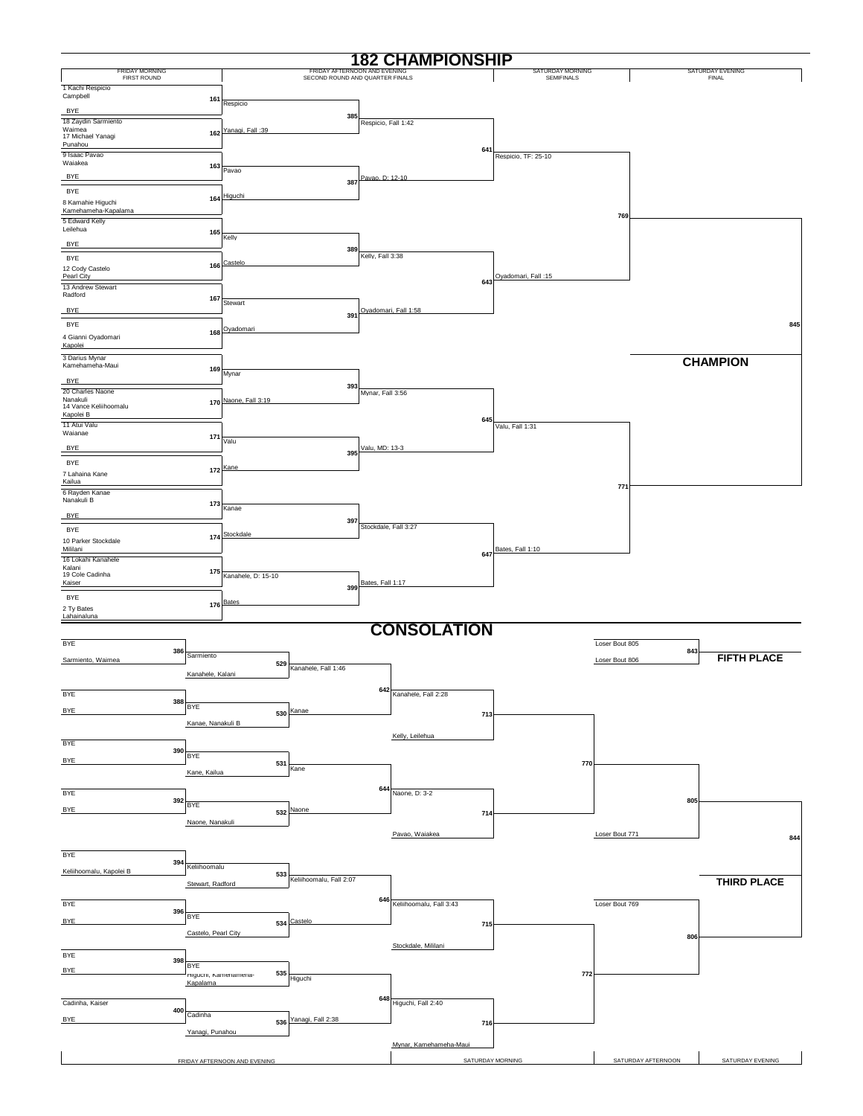|                                             |                     |                              |                                                            |                      | <b>182 CHAMPIONSHIP</b>     |                                       |                    |                                  |
|---------------------------------------------|---------------------|------------------------------|------------------------------------------------------------|----------------------|-----------------------------|---------------------------------------|--------------------|----------------------------------|
| <b>FRIDAY MORNING</b><br><b>FIRST ROUND</b> |                     |                              | <b>FRIDAY AFTERNOON</b><br>SECOND ROUND AND QUARTER FINALS |                      |                             | SATURDAY MORNING<br><b>SEMIFINALS</b> |                    | SATURDAY EVENING<br><b>FINAL</b> |
| 1 Kachi Respicio<br>Campbell                |                     |                              |                                                            |                      |                             |                                       |                    |                                  |
| BYE                                         | 161                 | Respicio                     |                                                            |                      |                             |                                       |                    |                                  |
| 18 Zaydin Sarmiento<br>Waimea               |                     |                              | 385                                                        | Respicio, Fall 1:42  |                             |                                       |                    |                                  |
| 17 Michael Yanagi<br>Punahou                |                     | 162 Yanagi, Fall: 39         |                                                            |                      |                             |                                       |                    |                                  |
| 9 Isaac Pavao                               |                     |                              |                                                            |                      | 641                         | Respicio, TF: 25-10                   |                    |                                  |
| Waiakea<br><b>BYE</b>                       | 163                 | Pavao                        |                                                            | Pavao, D: 12-10      |                             |                                       |                    |                                  |
| BYE                                         |                     |                              | 387                                                        |                      |                             |                                       |                    |                                  |
| 8 Kamahie Higuchi<br>Kamehameha-Kapalama    |                     | 164 Higuchi                  |                                                            |                      |                             |                                       |                    |                                  |
| 5 Edward Kelly                              |                     |                              |                                                            |                      |                             |                                       | 769                |                                  |
| Leilehua                                    | 165                 | Kelly                        |                                                            |                      |                             |                                       |                    |                                  |
| <b>BYE</b><br><b>BYE</b>                    |                     |                              | 389                                                        | Kelly, Fall 3:38     |                             |                                       |                    |                                  |
| 12 Cody Castelo                             |                     | 166 Castelo                  |                                                            |                      |                             | Oyadomari, Fall: 15                   |                    |                                  |
| Pearl City<br>13 Andrew Stewart             |                     |                              |                                                            |                      | 643                         |                                       |                    |                                  |
| Radford                                     | 167                 | Stewart                      |                                                            |                      |                             |                                       |                    |                                  |
| <b>BYE</b><br>BYE                           |                     |                              | 391                                                        |                      | Oyadomari, Fall 1:58        |                                       |                    | 845                              |
| 4 Gianni Oyadomari                          | 168                 | Oyadomari                    |                                                            |                      |                             |                                       |                    |                                  |
| Kapolei                                     |                     |                              |                                                            |                      |                             |                                       |                    |                                  |
| 3 Darius Mynar<br>Kamehameha-Maui           | 169                 | Mynar                        |                                                            |                      |                             |                                       |                    | <b>CHAMPION</b>                  |
| <b>BYE</b>                                  |                     |                              | 393                                                        |                      |                             |                                       |                    |                                  |
| 20 Charles Naone<br>Nanakuli                |                     | 170 Naone, Fall 3:19         |                                                            | Mynar, Fall 3:56     |                             |                                       |                    |                                  |
| 14 Vance Keliihoomalu<br>Kapolei B          |                     |                              |                                                            |                      | 645                         |                                       |                    |                                  |
| 11 Atui Valu<br>Waianae                     | 171                 |                              |                                                            |                      |                             | Valu, Fall 1:31                       |                    |                                  |
| <b>BYE</b>                                  |                     | Valu                         | 395                                                        | Valu, MD: 13-3       |                             |                                       |                    |                                  |
| BYE                                         |                     | 172 Kane                     |                                                            |                      |                             |                                       |                    |                                  |
| 7 Lahaina Kane<br>Kailua                    |                     |                              |                                                            |                      |                             |                                       | 771                |                                  |
| 6 Rayden Kanae<br>Nanakuli B                |                     |                              |                                                            |                      |                             |                                       |                    |                                  |
| <b>BYE</b>                                  | 173                 | Kanae                        |                                                            |                      |                             |                                       |                    |                                  |
| <b>BYE</b>                                  |                     |                              | 397                                                        | Stockdale, Fall 3:27 |                             |                                       |                    |                                  |
| 10 Parker Stockdale<br>Mililani             |                     | 174 Stockdale                |                                                            |                      |                             | Bates, Fall 1:10                      |                    |                                  |
| 16 Lokahi Kanahele<br>Kalani                |                     |                              |                                                            |                      | 647                         |                                       |                    |                                  |
| 19 Cole Cadinha<br>Kaiser                   | 175                 | Kanahele, D: 15-10           |                                                            | Bates, Fall 1:17     |                             |                                       |                    |                                  |
| BYE                                         |                     |                              | 399                                                        |                      |                             |                                       |                    |                                  |
| 2 Ty Bates<br>Lahainaluna                   |                     | 176 Bates                    |                                                            |                      |                             |                                       |                    |                                  |
|                                             |                     |                              |                                                            |                      | <b>CONSOLATION</b>          |                                       |                    |                                  |
| <b>BYE</b>                                  |                     |                              |                                                            |                      |                             |                                       | Loser Bout 805     |                                  |
| Sarmiento, Waimea                           | 386<br>Sarmiento    | 529                          |                                                            |                      |                             |                                       | Loser Bout 806     | 843<br><b>FIFTH PLACE</b>        |
|                                             | Kanahele, Kalani    |                              | Kanahele, Fall 1:46                                        |                      |                             |                                       |                    |                                  |
| <b>BYE</b>                                  |                     |                              |                                                            | 642                  | Kanahele, Fall 2:28         |                                       |                    |                                  |
| <b>BYE</b>                                  | 388<br><b>BYE</b>   |                              | 530 Kanae                                                  |                      |                             |                                       |                    |                                  |
|                                             | Kanae, Nanakuli B   |                              |                                                            |                      | 713                         |                                       |                    |                                  |
| <b>BYE</b>                                  |                     |                              |                                                            |                      | Kelly, Leilehua             |                                       |                    |                                  |
| <b>BYE</b>                                  | 390<br><b>BYE</b>   |                              |                                                            |                      |                             |                                       |                    |                                  |
|                                             | Kane, Kailua        | 531                          | Kane                                                       |                      |                             | 770                                   |                    |                                  |
| BYE                                         |                     |                              |                                                            |                      | 644 Naone, D: $3-2$         |                                       |                    |                                  |
| <b>BYE</b>                                  | 392<br><b>BYE</b>   |                              | 532 Naone                                                  |                      |                             |                                       |                    | 805                              |
|                                             | Naone, Nanakuli     |                              |                                                            |                      | 714                         |                                       |                    |                                  |
|                                             |                     |                              |                                                            |                      | Pavao, Waiakea              |                                       | Loser Bout 771     | 844                              |
| <b>BYE</b>                                  |                     |                              |                                                            |                      |                             |                                       |                    |                                  |
| Keliihoomalu, Kapolei B                     | 394<br>Keliihoomalu | 533                          |                                                            |                      |                             |                                       |                    |                                  |
|                                             | Stewart, Radford    |                              | Keliihoomalu, Fall 2:07                                    |                      |                             |                                       |                    | <b>THIRD PLACE</b>               |
| <b>BYE</b>                                  |                     |                              |                                                            |                      | 646 Keliihoomalu, Fall 3:43 |                                       | Loser Bout 769     |                                  |
| <b>BYE</b>                                  | 396<br><b>BYE</b>   |                              | 534 Castelo                                                |                      | 715                         |                                       |                    |                                  |
|                                             | Castelo, Pearl City |                              |                                                            |                      |                             |                                       |                    | 806                              |
| BYE                                         |                     |                              |                                                            |                      | Stockdale, Mililani         |                                       |                    |                                  |
| <b>BYE</b>                                  | 398<br><b>BYE</b>   | 535                          |                                                            |                      |                             | 772                                   |                    |                                  |
|                                             | Kapalama            | riguoni, Kamenamena-         | Higuchi                                                    |                      |                             |                                       |                    |                                  |
| Cadinha, Kaiser                             |                     |                              |                                                            |                      | 648 Higuchi, Fall 2:40      |                                       |                    |                                  |
| <b>BYE</b>                                  | 400<br>Cadinha      |                              | 536 Yanagi, Fall 2:38                                      |                      |                             |                                       |                    |                                  |
|                                             | Yanagi, Punahou     |                              |                                                            |                      | 716                         |                                       |                    |                                  |
|                                             |                     |                              |                                                            |                      | Mynar, Kamehameha-Maui      |                                       |                    |                                  |
|                                             |                     | FRIDAY AFTERNOON AND EVENING |                                                            |                      | SATURDAY MORNING            |                                       | SATURDAY AFTERNOON | SATURDAY EVENING                 |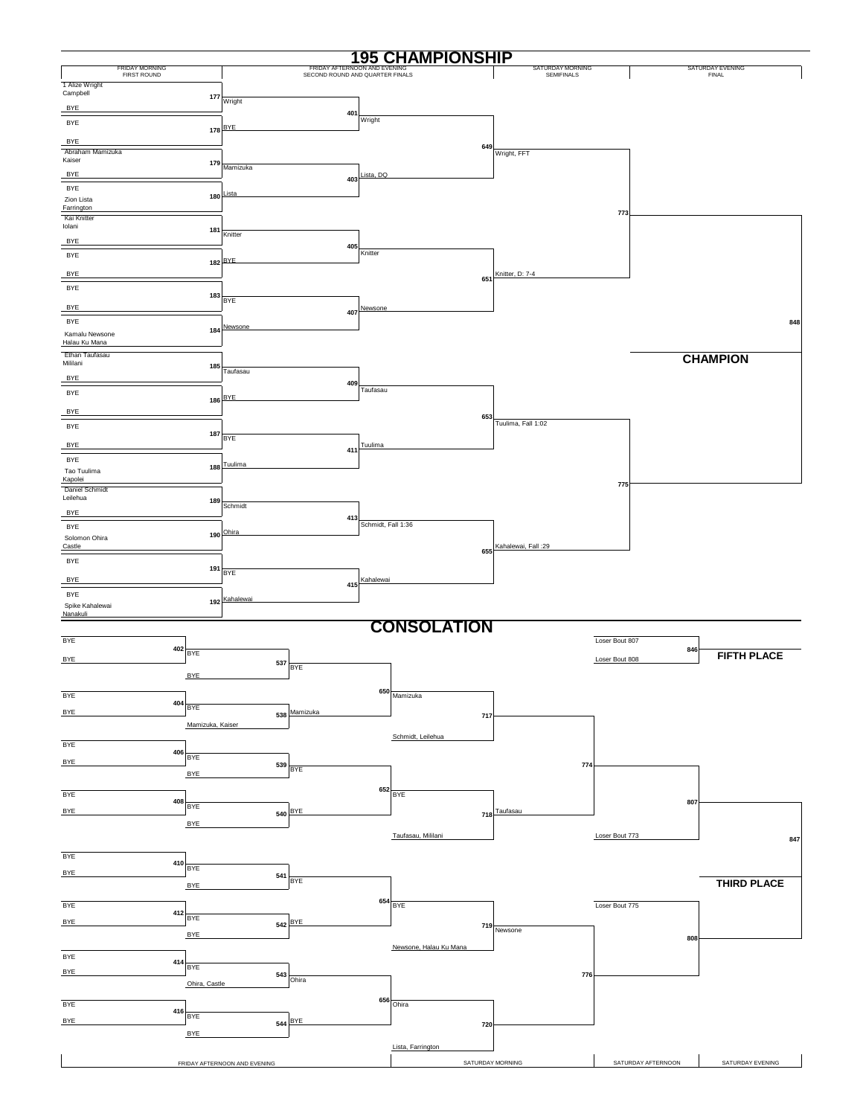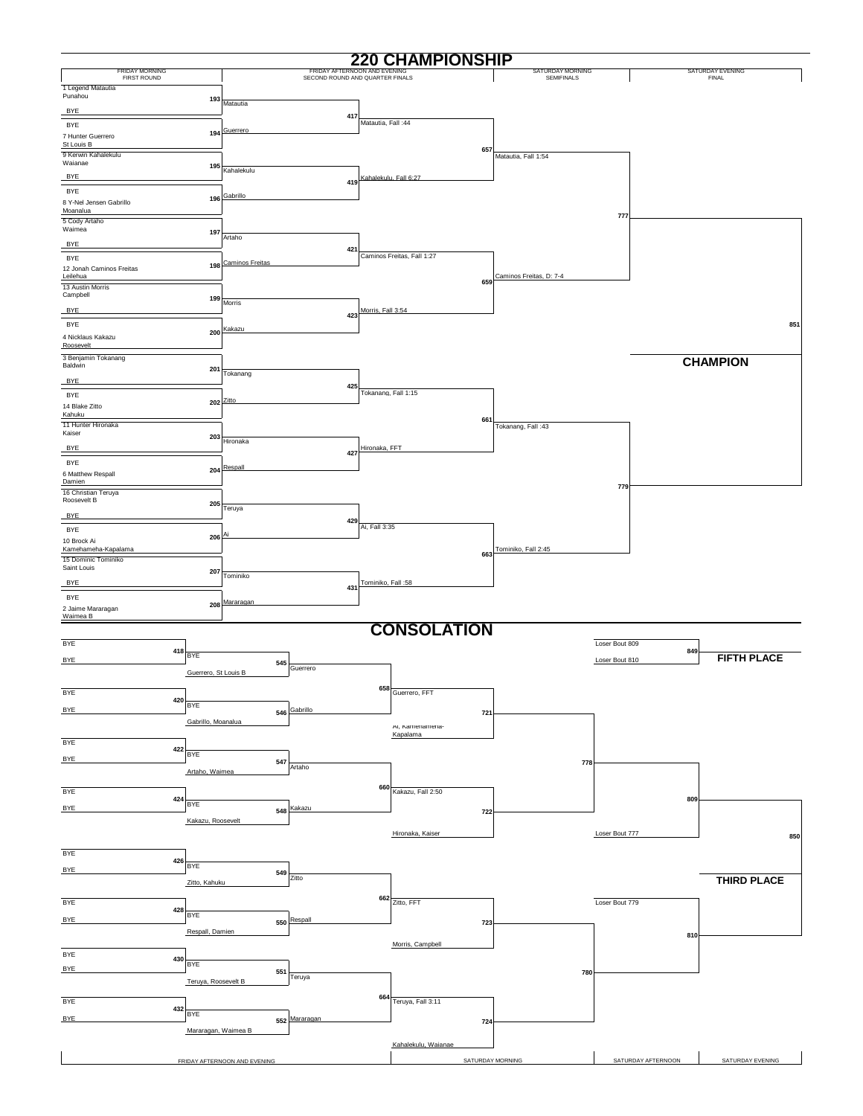